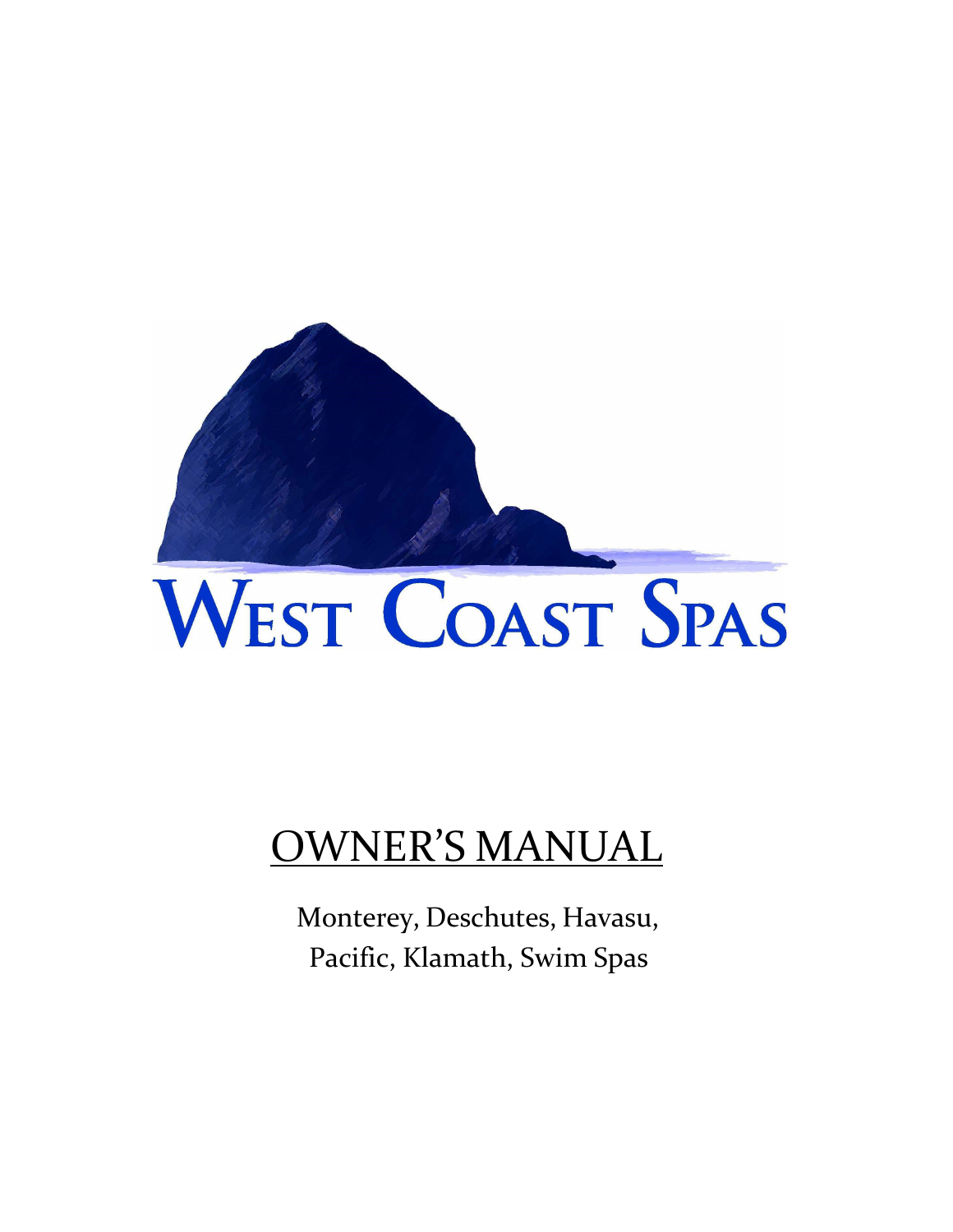

# WEST COAST SPAS

## OWNER'S MANUAL

Monterey, Deschutes, Havasu, Pacific, Klamath, Swim Spas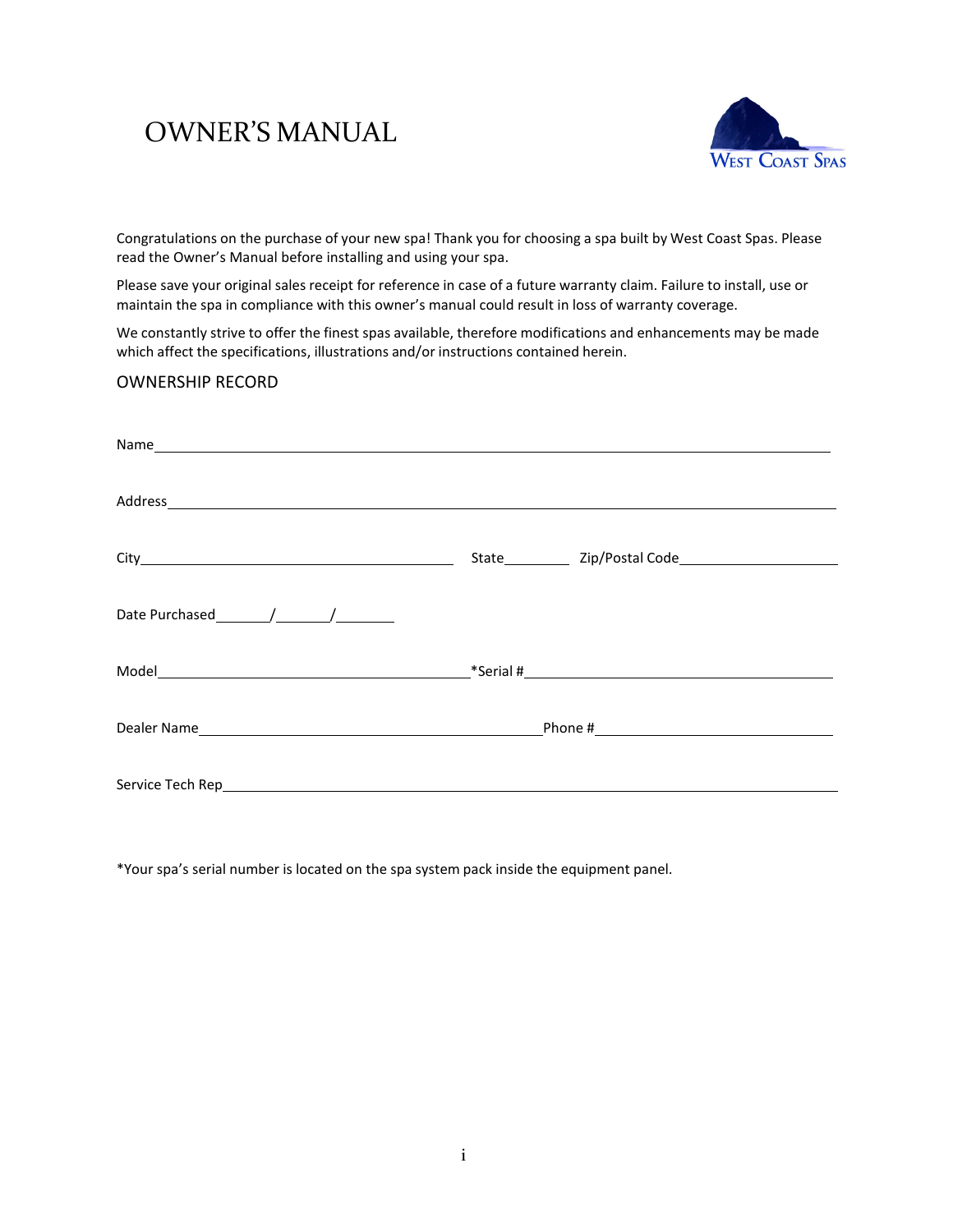### OWNER'S MANUAL



Congratulations on the purchase of your new spa! Thank you for choosing a spa built by West Coast Spas. Please read the Owner's Manual before installing and using your spa.

Please save your original sales receipt for reference in case of a future warranty claim. Failure to install, use or maintain the spa in compliance with this owner's manual could result in loss of warranty coverage.

We constantly strive to offer the finest spas available, therefore modifications and enhancements may be made which affect the specifications, illustrations and/or instructions contained herein.

### OWNERSHIP RECORD

\*Your spa's serial number is located on the spa system pack inside the equipment panel.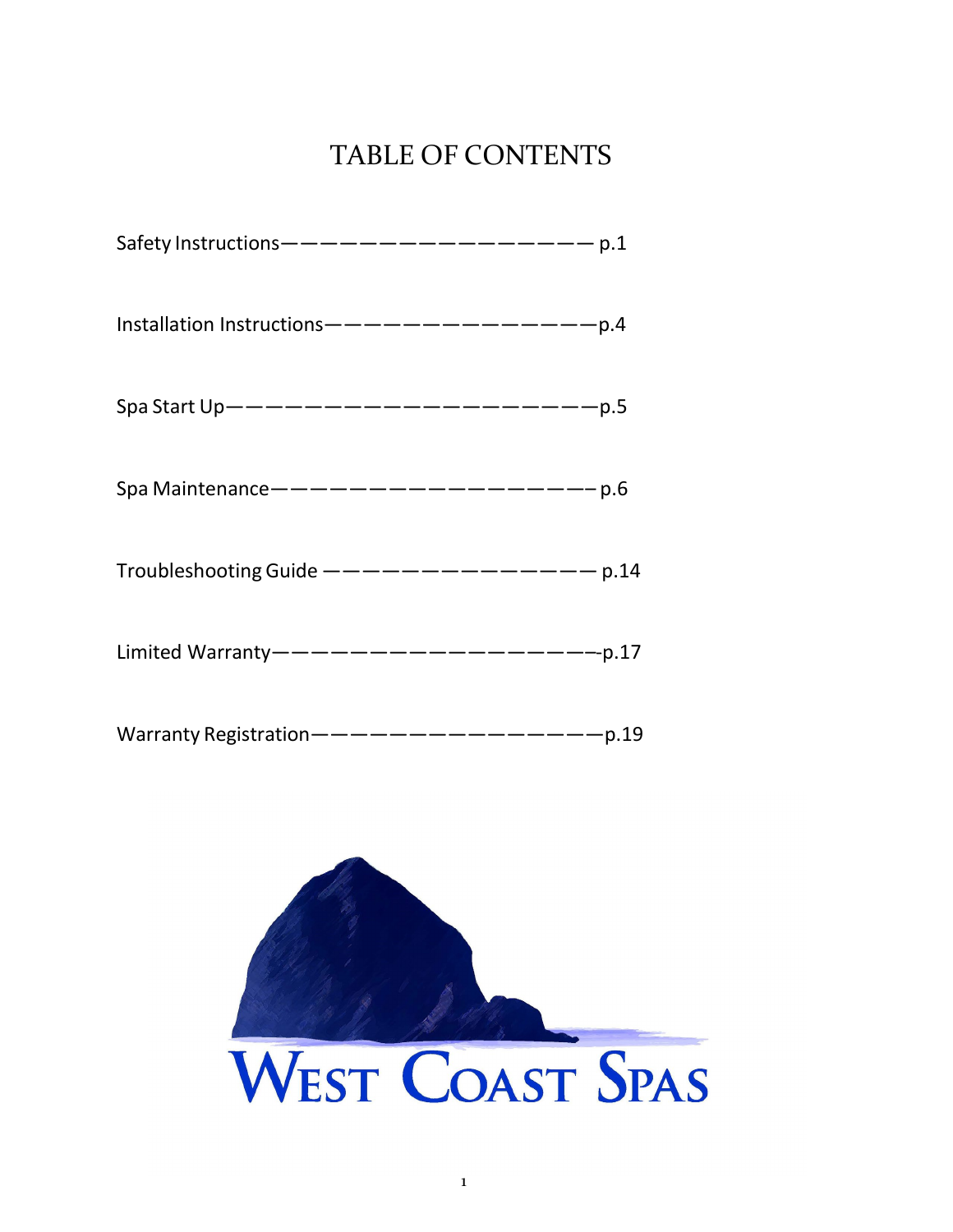### TABLE OF CONTENTS

| Safety Instructions ———————————————— p.1    |  |
|---------------------------------------------|--|
| Installation Instructions---------------p.4 |  |
| Spa Start Up---------------------p.5        |  |
| Spa Maintenance ------------------p.6       |  |
| Troubleshooting Guide $-------------$ p.14  |  |
| Limited Warranty--------------------p.17    |  |
| Warranty Registration-----------------p.19  |  |

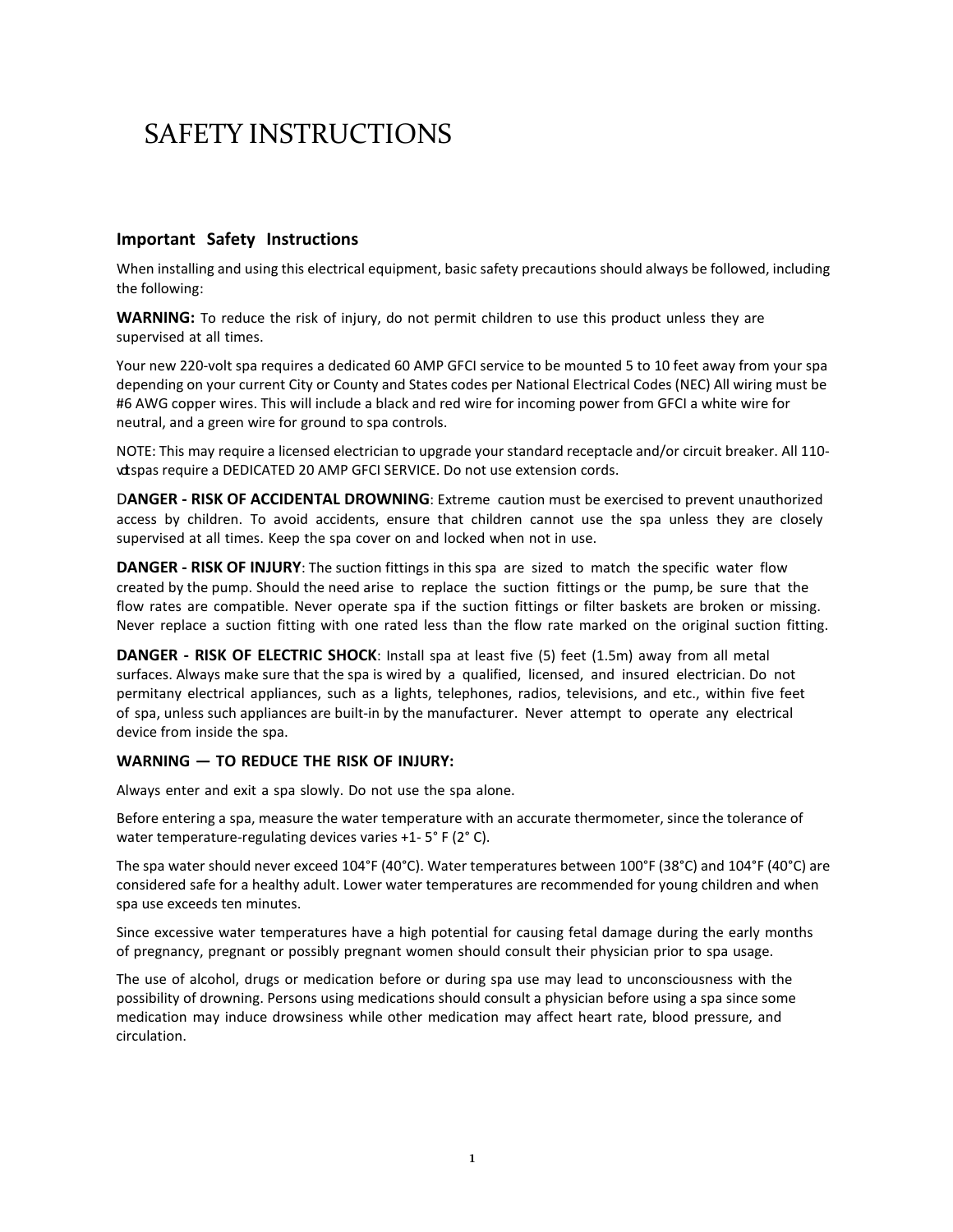### SAFETY INSTRUCTIONS

### **Important Safety Instructions**

When installing and using this electrical equipment, basic safety precautions should always be followed, including the following:

**WARNING:** To reduce the risk of injury, do not permit children to use this product unless they are supervised at all times.

Your new 220-volt spa requires a dedicated 60 AMP GFCI service to be mounted 5 to 10 feet away from your spa depending on your current City or County and States codes per National Electrical Codes (NEC) All wiring must be #6 AWG copper wires. This will include a black and red wire for incoming power from GFCI a white wire for neutral, and a green wire for ground to spa controls.

NOTE: This may require a licensed electrician to upgrade your standard receptacle and/or circuit breaker. All 110 vdspas require a DEDICATED 20 AMP GFCI SERVICE. Do not use extension cords.

D**ANGER - RISK OF ACCIDENTAL DROWNING**: Extreme caution must be exercised to prevent unauthorized access by children. To avoid accidents, ensure that children cannot use the spa unless they are closely supervised at all times. Keep the spa cover on and locked when not in use.

**DANGER - RISK OF INJURY**: The suction fittings in this spa are sized to match the specific water flow created by the pump. Should the need arise to replace the suction fittings or the pump, be sure that the flow rates are compatible. Never operate spa if the suction fittings or filter baskets are broken or missing. Never replace a suction fitting with one rated less than the flow rate marked on the original suction fitting.

**DANGER - RISK OF ELECTRIC SHOCK**: Install spa at least five (5) feet (1.5m) away from all metal surfaces. Always make sure that the spa is wired by a qualified, licensed, and insured electrician. Do not permitany electrical appliances, such as a lights, telephones, radios, televisions, and etc., within five feet of spa, unless such appliances are built-in by the manufacturer. Never attempt to operate any electrical device from inside the spa.

### **WARNING — TO REDUCE THE RISK OF INJURY:**

Always enter and exit a spa slowly. Do not use the spa alone.

Before entering a spa, measure the water temperature with an accurate thermometer, since the tolerance of water temperature-regulating devices varies +1- 5° F (2° C).

The spa water should never exceed 104°F (40°C). Water temperatures between 100°F (38°C) and 104°F (40°C) are considered safe for a healthy adult. Lower water temperatures are recommended for young children and when spa use exceeds ten minutes.

Since excessive water temperatures have a high potential for causing fetal damage during the early months of pregnancy, pregnant or possibly pregnant women should consult their physician prior to spa usage.

The use of alcohol, drugs or medication before or during spa use may lead to unconsciousness with the possibility of drowning. Persons using medications should consult a physician before using a spa since some medication may induce drowsiness while other medication may affect heart rate, blood pressure, and circulation.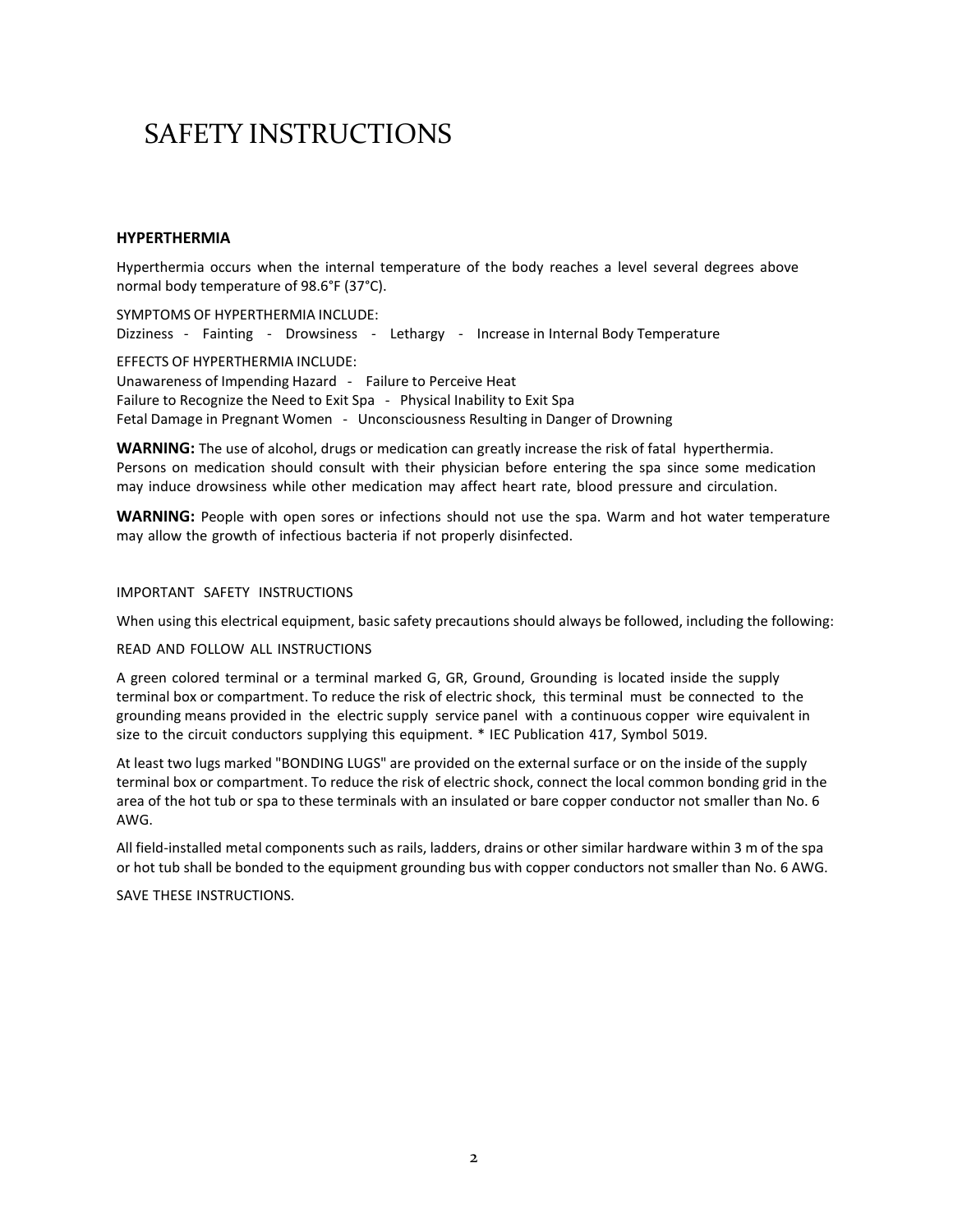### SAFETY INSTRUCTIONS

### **HYPERTHERMIA**

Hyperthermia occurs when the internal temperature of the body reaches a level several degrees above normal body temperature of 98.6°F (37°C).

SYMPTOMS OF HYPERTHERMIA INCLUDE: Dizziness - Fainting - Drowsiness - Lethargy - Increase in Internal Body Temperature EFFECTS OF HYPERTHERMIA INCLUDE: Unawareness of Impending Hazard - Failure to Perceive Heat Failure to Recognize the Need to Exit Spa - Physical Inability to Exit Spa Fetal Damage in Pregnant Women - Unconsciousness Resulting in Danger of Drowning

**WARNING:** The use of alcohol, drugs or medication can greatly increase the risk of fatal hyperthermia. Persons on medication should consult with their physician before entering the spa since some medication may induce drowsiness while other medication may affect heart rate, blood pressure and circulation.

**WARNING:** People with open sores or infections should not use the spa. Warm and hot water temperature may allow the growth of infectious bacteria if not properly disinfected.

#### IMPORTANT SAFETY INSTRUCTIONS

When using this electrical equipment, basic safety precautions should always be followed, including the following:

#### READ AND FOLLOW ALL INSTRUCTIONS

A green colored terminal or a terminal marked G, GR, Ground, Grounding is located inside the supply terminal box or compartment. To reduce the risk of electric shock, this terminal must be connected to the grounding means provided in the electric supply service panel with a continuous copper wire equivalent in size to the circuit conductors supplying this equipment. \* IEC Publication 417, Symbol 5019.

At least two lugs marked "BONDING LUGS" are provided on the external surface or on the inside of the supply terminal box or compartment. To reduce the risk of electric shock, connect the local common bonding grid in the area of the hot tub or spa to these terminals with an insulated or bare copper conductor not smaller than No. 6 AWG.

All field-installed metal components such as rails, ladders, drains or other similar hardware within 3 m of the spa or hot tub shall be bonded to the equipment grounding bus with copper conductors not smaller than No. 6 AWG.

SAVE THESE INSTRUCTIONS.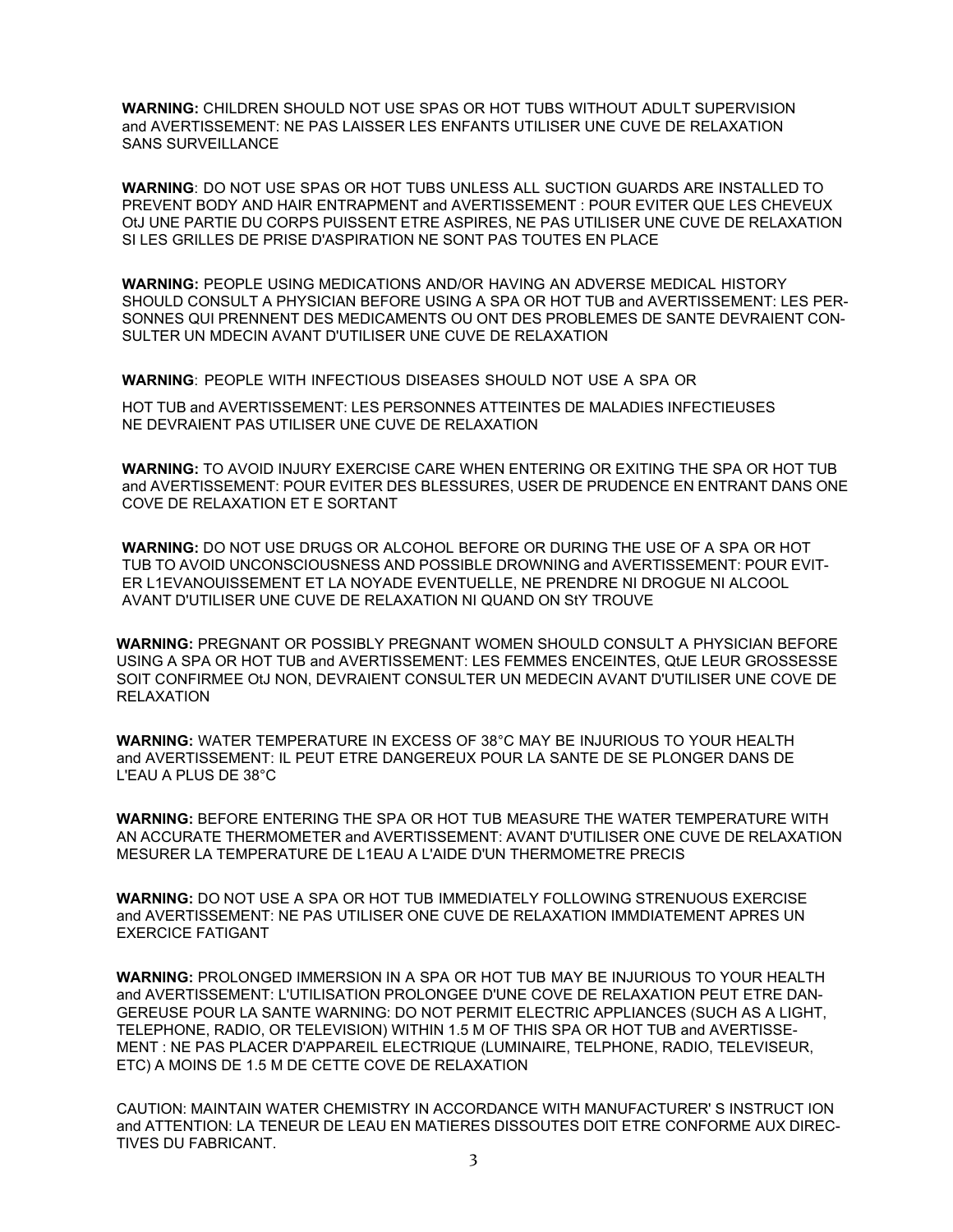**WARNING:** CHILDREN SHOULD NOT USE SPAS OR HOT TUBS WITHOUT ADULT SUPERVISION and AVERTISSEMENT: NE PAS LAISSER LES ENFANTS UTILISER UNE CUVE DE RELAXATION SANS SURVEILLANCE

**WARNING**: DO NOT USE SPAS OR HOT TUBS UNLESS ALL SUCTION GUARDS ARE INSTALLED TO PREVENT BODY AND HAIR ENTRAPMENT and AVERTISSEMENT : POUR EVITER QUE LES CHEVEUX OtJ UNE PARTIE DU CORPS PUISSENT ETRE ASPIRES, NE PAS UTILISER UNE CUVE DE RELAXATION SI LES GRILLES DE PRISE D'ASPIRATION NE SONT PAS TOUTES EN PLACE

**WARNING:** PEOPLE USING MEDICATIONS AND/OR HAVING AN ADVERSE MEDICAL HISTORY SHOULD CONSULT A PHYSICIAN BEFORE USING A SPA OR HOT TUB and AVERTISSEMENT: LES PER-SONNES QUI PRENNENT DES MEDICAMENTS OU ONT DES PROBLEMES DE SANTE DEVRAIENT CON-SULTER UN MDECIN AVANT D'UTILISER UNE CUVE DE RELAXATION

**WARNING**: PEOPLE WITH INFECTIOUS DISEASES SHOULD NOT USE A SPA OR

HOT TUB and AVERTISSEMENT: LES PERSONNES ATTEINTES DE MALADIES INFECTIEUSES NE DEVRAIENT PAS UTILISER UNE CUVE DE RELAXATION

**WARNING:** TO AVOID INJURY EXERCISE CARE WHEN ENTERING OR EXITING THE SPA OR HOT TUB and AVERTISSEMENT: POUR EVITER DES BLESSURES, USER DE PRUDENCE EN ENTRANT DANS ONE COVE DE RELAXATION ET E SORTANT

**WARNING:** DO NOT USE DRUGS OR ALCOHOL BEFORE OR DURING THE USE OF A SPA OR HOT TUB TO AVOID UNCONSCIOUSNESS AND POSSIBLE DROWNING and AVERTISSEMENT: POUR EVIT-ER L1EVANOUISSEMENT ET LA NOYADE EVENTUELLE, NE PRENDRE NI DROGUE NI ALCOOL AVANT D'UTILISER UNE CUVE DE RELAXATION NI QUAND ON StY TROUVE

**WARNING:** PREGNANT OR POSSIBLY PREGNANT WOMEN SHOULD CONSULT A PHYSICIAN BEFORE USING A SPA OR HOT TUB and AVERTISSEMENT: LES FEMMES ENCEINTES, QtJE LEUR GROSSESSE SOIT CONFIRMEE OtJ NON, DEVRAIENT CONSULTER UN MEDECIN AVANT D'UTILISER UNE COVE DE RELAXATION

**WARNING:** WATER TEMPERATURE IN EXCESS OF 38°C MAY BE INJURIOUS TO YOUR HEALTH and AVERTISSEMENT: IL PEUT ETRE DANGEREUX POUR LA SANTE DE SE PLONGER DANS DE L'EAU A PLUS DE 38°C

**WARNING:** BEFORE ENTERING THE SPA OR HOT TUB MEASURE THE WATER TEMPERATURE WITH AN ACCURATE THERMOMETER and AVERTISSEMENT: AVANT D'UTILISER ONE CUVE DE RELAXATION MESURER LA TEMPERATURE DE L1EAU A L'AIDE D'UN THERMOMETRE PRECIS

**WARNING:** DO NOT USE A SPA OR HOT TUB IMMEDIATELY FOLLOWING STRENUOUS EXERCISE and AVERTISSEMENT: NE PAS UTILISER ONE CUVE DE RELAXATION IMMDIATEMENT APRES UN EXERCICE FATIGANT

**WARNING:** PROLONGED IMMERSION IN A SPA OR HOT TUB MAY BE INJURIOUS TO YOUR HEALTH and AVERTISSEMENT: L'UTILISATION PROLONGEE D'UNE COVE DE RELAXATION PEUT ETRE DAN-GEREUSE POUR LA SANTE WARNING: DO NOT PERMIT ELECTRIC APPLIANCES (SUCH AS A LIGHT, TELEPHONE, RADIO, OR TELEVISION) WITHIN 1.5 M OF THIS SPA OR HOT TUB and AVERTISSE-MENT : NE PAS PLACER D'APPAREIL ELECTRIQUE (LUMINAIRE, TELPHONE, RADIO, TELEVISEUR, ETC) A MOINS DE 1.5 M DE CETTE COVE DE RELAXATION

CAUTION: MAINTAIN WATER CHEMISTRY IN ACCORDANCE WITH MANUFACTURER' S INSTRUCT ION and ATTENTION: LA TENEUR DE LEAU EN MATIERES DISSOUTES DOlT ETRE CONFORME AUX DIREC-TIVES DU FABRICANT.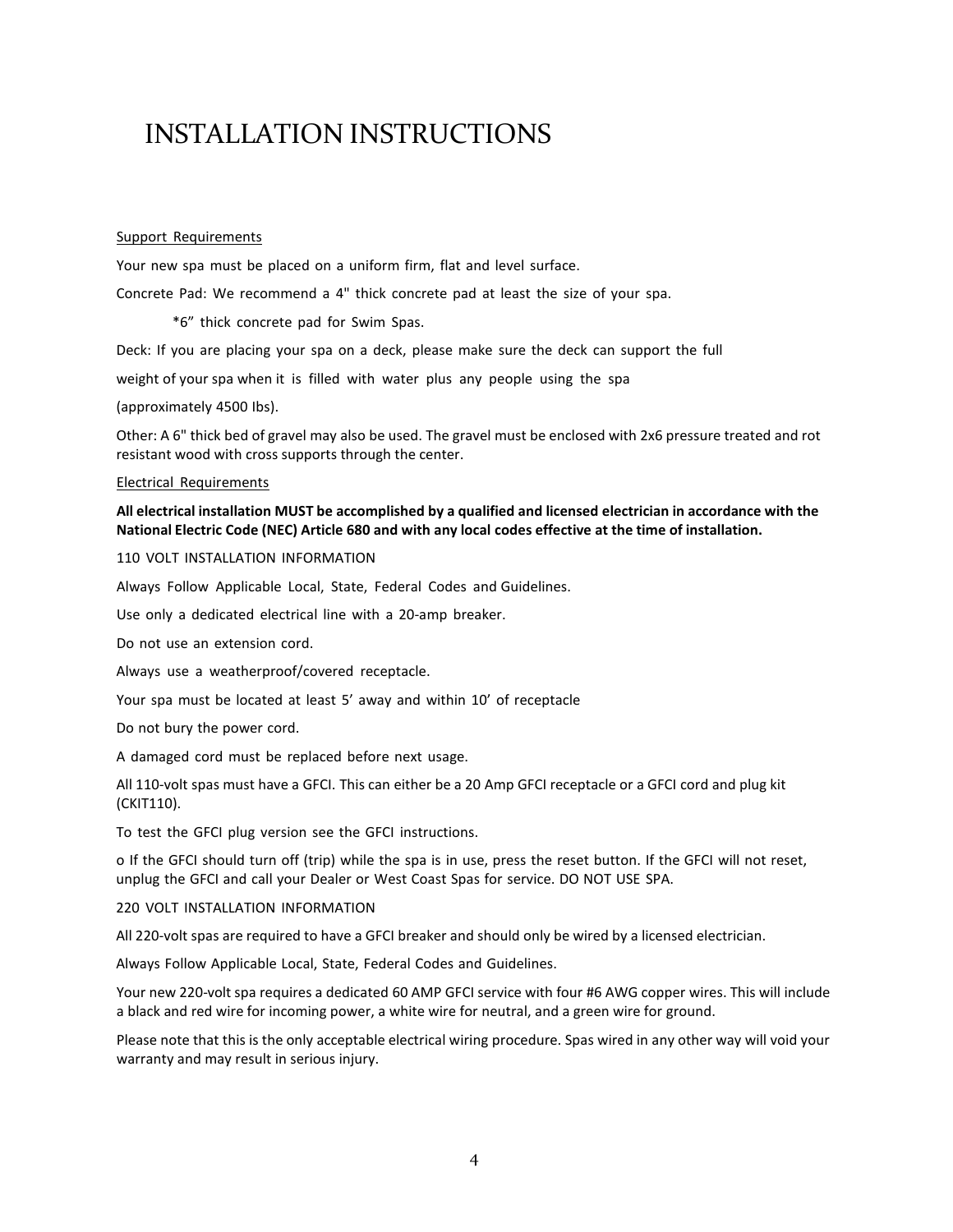### INSTALLATION INSTRUCTIONS

#### Support Requirements

Your new spa must be placed on a uniform firm, flat and level surface.

Concrete Pad: We recommend a 4" thick concrete pad at least the size of your spa.

\*6" thick concrete pad for Swim Spas.

Deck: If you are placing your spa on a deck, please make sure the deck can support the full

weight of your spa when it is filled with water plus any people using the spa

#### (approximately 4500 Ibs).

Other: A 6" thick bed of gravel may also be used. The gravel must be enclosed with 2x6 pressure treated and rot resistant wood with cross supports through the center.

#### Electrical Requirements

### **All electrical installation MUST be accomplished by a qualified and licensed electrician in accordance with the National Electric Code (NEC) Article 680 and with any local codes effective at the time of installation.**

#### 110 VOLT INSTALLATION INFORMATION

Always Follow Applicable Local, State, Federal Codes and Guidelines.

Use only a dedicated electrical line with a 20-amp breaker.

Do not use an extension cord.

Always use a weatherproof/covered receptacle.

Your spa must be located at least 5' away and within 10' of receptacle

Do not bury the power cord.

A damaged cord must be replaced before next usage.

All 110-volt spas must have a GFCI. This can either be a 20 Amp GFCI receptacle or a GFCI cord and plug kit (CKIT110).

To test the GFCI plug version see the GFCI instructions.

o If the GFCI should turn off (trip) while the spa is in use, press the reset button. If the GFCI will not reset, unplug the GFCI and call your Dealer or West Coast Spas for service. DO NOT USE SPA.

#### 220 VOLT INSTALLATION INFORMATION

All 220-volt spas are required to have a GFCI breaker and should only be wired by a licensed electrician.

Always Follow Applicable Local, State, Federal Codes and Guidelines.

Your new 220-volt spa requires a dedicated 60 AMP GFCI service with four #6 AWG copper wires. This will include a black and red wire for incoming power, a white wire for neutral, and a green wire for ground.

Please note that this is the only acceptable electrical wiring procedure. Spas wired in any other way will void your warranty and may result in serious injury.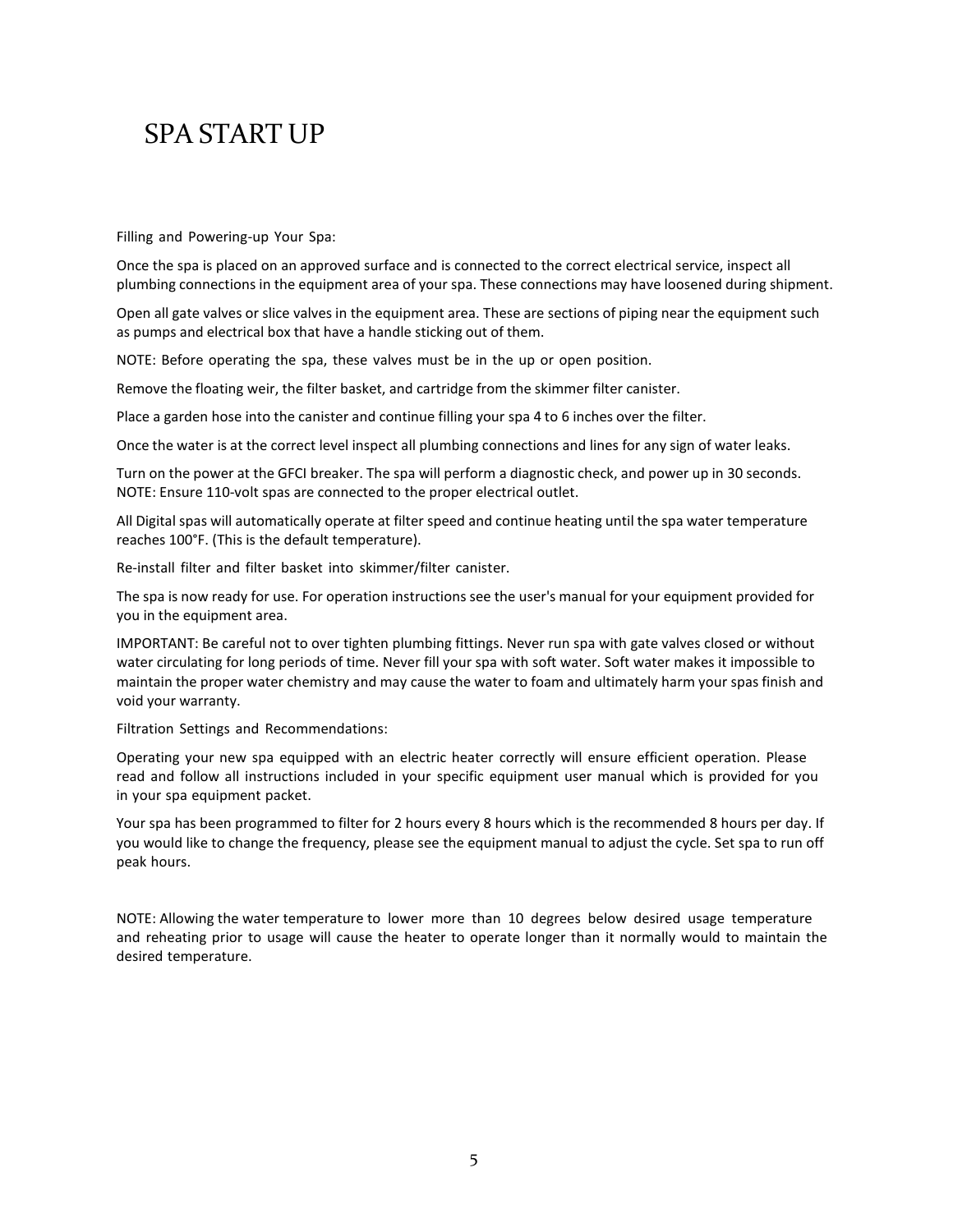### SPA START UP

Filling and Powering-up Your Spa:

Once the spa is placed on an approved surface and is connected to the correct electrical service, inspect all plumbing connections in the equipment area of your spa. These connections may have loosened during shipment.

Open all gate valves or slice valves in the equipment area. These are sections of piping near the equipment such as pumps and electrical box that have a handle sticking out of them.

NOTE: Before operating the spa, these valves must be in the up or open position.

Remove the floating weir, the filter basket, and cartridge from the skimmer filter canister.

Place a garden hose into the canister and continue filling your spa 4 to 6 inches over the filter.

Once the water is at the correct level inspect all plumbing connections and lines for any sign of water leaks.

Turn on the power at the GFCI breaker. The spa will perform a diagnostic check, and power up in 30 seconds. NOTE: Ensure 110-volt spas are connected to the proper electrical outlet.

All Digital spas will automatically operate at filter speed and continue heating until the spa water temperature reaches 100°F. (This is the default temperature).

Re-install filter and filter basket into skimmer/filter canister.

The spa is now ready for use. For operation instructions see the user's manual for your equipment provided for you in the equipment area.

IMPORTANT: Be careful not to over tighten plumbing fittings. Never run spa with gate valves closed or without water circulating for long periods of time. Never fill your spa with soft water. Soft water makes it impossible to maintain the proper water chemistry and may cause the water to foam and ultimately harm your spas finish and void your warranty.

Filtration Settings and Recommendations:

Operating your new spa equipped with an electric heater correctly will ensure efficient operation. Please read and follow all instructions included in your specific equipment user manual which is provided for you in your spa equipment packet.

Your spa has been programmed to filter for 2 hours every 8 hours which is the recommended 8 hours per day. If you would like to change the frequency, please see the equipment manual to adjust the cycle. Set spa to run off peak hours.

NOTE: Allowing the water temperature to lower more than 10 degrees below desired usage temperature and reheating prior to usage will cause the heater to operate longer than it normally would to maintain the desired temperature.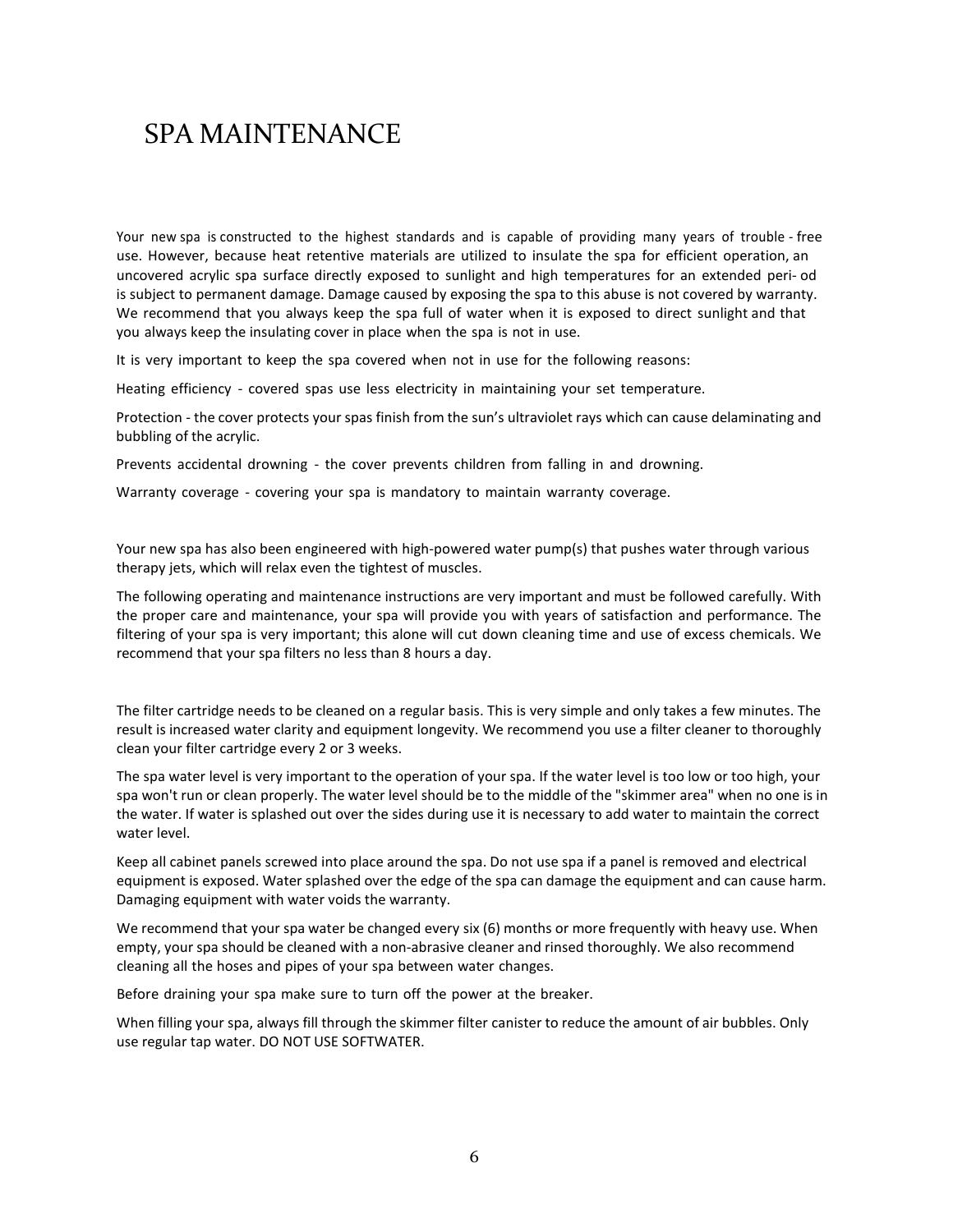Your new spa is constructed to the highest standards and is capable of providing many years of trouble - free use. However, because heat retentive materials are utilized to insulate the spa for efficient operation, an uncovered acrylic spa surface directly exposed to sunlight and high temperatures for an extended peri- od is subject to permanent damage. Damage caused by exposing the spa to this abuse is not covered by warranty. We recommend that you always keep the spa full of water when it is exposed to direct sunlight and that you always keep the insulating cover in place when the spa is not in use.

It is very important to keep the spa covered when not in use for the following reasons:

Heating efficiency - covered spas use less electricity in maintaining your set temperature.

Protection - the cover protects your spas finish from the sun's ultraviolet rays which can cause delaminating and bubbling of the acrylic.

Prevents accidental drowning - the cover prevents children from falling in and drowning.

Warranty coverage - covering your spa is mandatory to maintain warranty coverage.

Your new spa has also been engineered with high-powered water pump(s) that pushes water through various therapy jets, which will relax even the tightest of muscles.

The following operating and maintenance instructions are very important and must be followed carefully. With the proper care and maintenance, your spa will provide you with years of satisfaction and performance. The filtering of your spa is very important; this alone will cut down cleaning time and use of excess chemicals. We recommend that your spa filters no less than 8 hours a day.

The filter cartridge needs to be cleaned on a regular basis. This is very simple and only takes a few minutes. The result is increased water clarity and equipment longevity. We recommend you use a filter cleaner to thoroughly clean your filter cartridge every 2 or 3 weeks.

The spa water level is very important to the operation of your spa. If the water level is too low or too high, your spa won't run or clean properly. The water level should be to the middle of the "skimmer area" when no one is in the water. If water is splashed out over the sides during use it is necessary to add water to maintain the correct water level.

Keep all cabinet panels screwed into place around the spa. Do not use spa if a panel is removed and electrical equipment is exposed. Water splashed over the edge of the spa can damage the equipment and can cause harm. Damaging equipment with water voids the warranty.

We recommend that your spa water be changed every six (6) months or more frequently with heavy use. When empty, your spa should be cleaned with a non-abrasive cleaner and rinsed thoroughly. We also recommend cleaning all the hoses and pipes of your spa between water changes.

Before draining your spa make sure to turn off the power at the breaker.

When filling your spa, always fill through the skimmer filter canister to reduce the amount of air bubbles. Only use regular tap water. DO NOT USE SOFTWATER.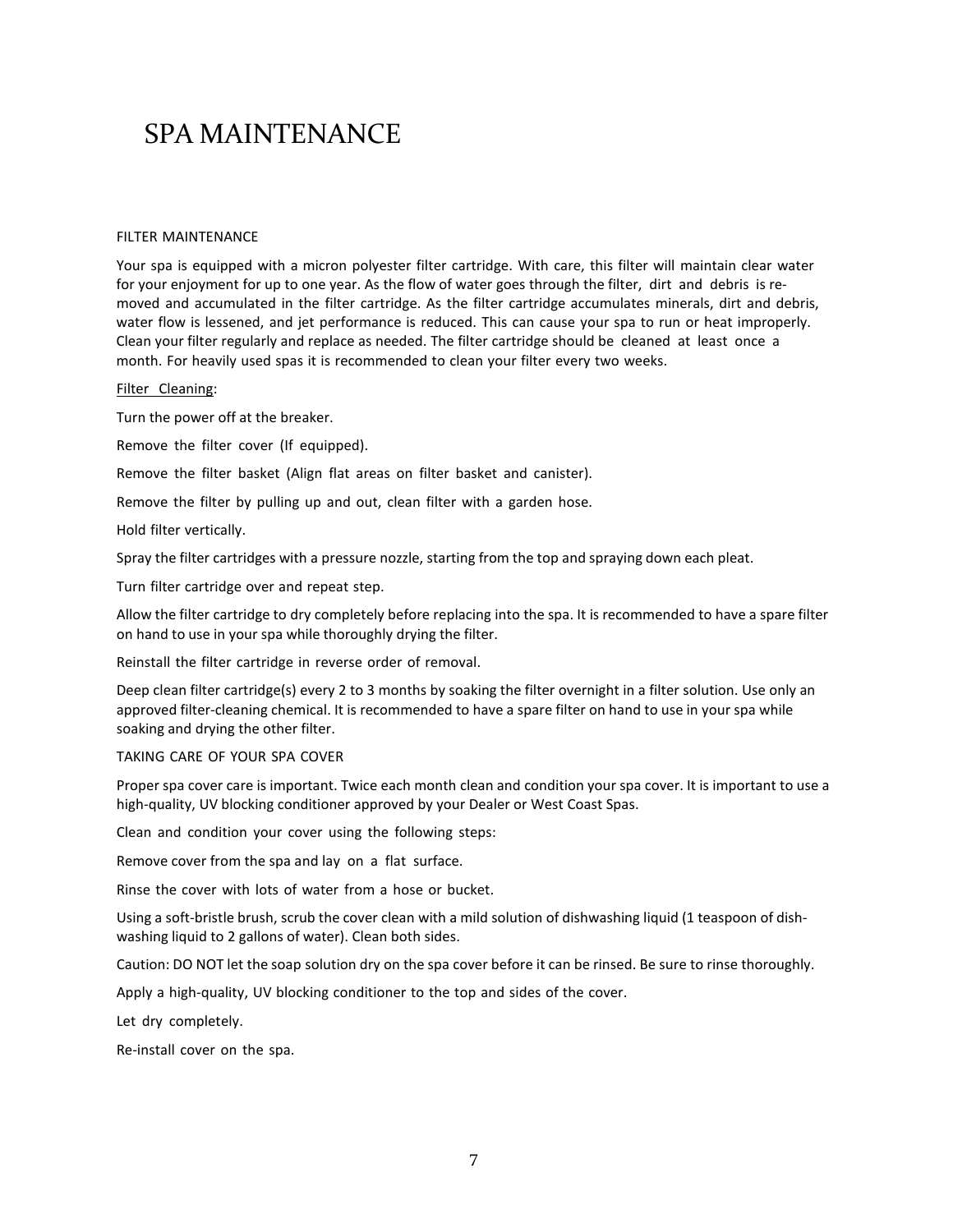#### FILTER MAINTENANCE

Your spa is equipped with a micron polyester filter cartridge. With care, this filter will maintain clear water for your enjoyment for up to one year. As the flow of water goes through the filter, dirt and debris is removed and accumulated in the filter cartridge. As the filter cartridge accumulates minerals, dirt and debris, water flow is lessened, and jet performance is reduced. This can cause your spa to run or heat improperly. Clean your filter regularly and replace as needed. The filter cartridge should be cleaned at least once a month. For heavily used spas it is recommended to clean your filter every two weeks.

#### Filter Cleaning:

Turn the power off at the breaker.

Remove the filter cover (If equipped).

Remove the filter basket (Align flat areas on filter basket and canister).

Remove the filter by pulling up and out, clean filter with a garden hose.

Hold filter vertically.

Spray the filter cartridges with a pressure nozzle, starting from the top and spraying down each pleat.

Turn filter cartridge over and repeat step.

Allow the filter cartridge to dry completely before replacing into the spa. It is recommended to have a spare filter on hand to use in your spa while thoroughly drying the filter.

Reinstall the filter cartridge in reverse order of removal.

Deep clean filter cartridge(s) every 2 to 3 months by soaking the filter overnight in a filter solution. Use only an approved filter-cleaning chemical. It is recommended to have a spare filter on hand to use in your spa while soaking and drying the other filter.

### TAKING CARE OF YOUR SPA COVER

Proper spa cover care is important. Twice each month clean and condition your spa cover. It is important to use a high-quality, UV blocking conditioner approved by your Dealer or West Coast Spas.

Clean and condition your cover using the following steps:

Remove cover from the spa and lay on a flat surface.

Rinse the cover with lots of water from a hose or bucket.

Using a soft-bristle brush, scrub the cover clean with a mild solution of dishwashing liquid (1 teaspoon of dishwashing liquid to 2 gallons of water). Clean both sides.

Caution: DO NOT let the soap solution dry on the spa cover before it can be rinsed. Be sure to rinse thoroughly.

Apply a high-quality, UV blocking conditioner to the top and sides of the cover.

Let dry completely.

Re-install cover on the spa.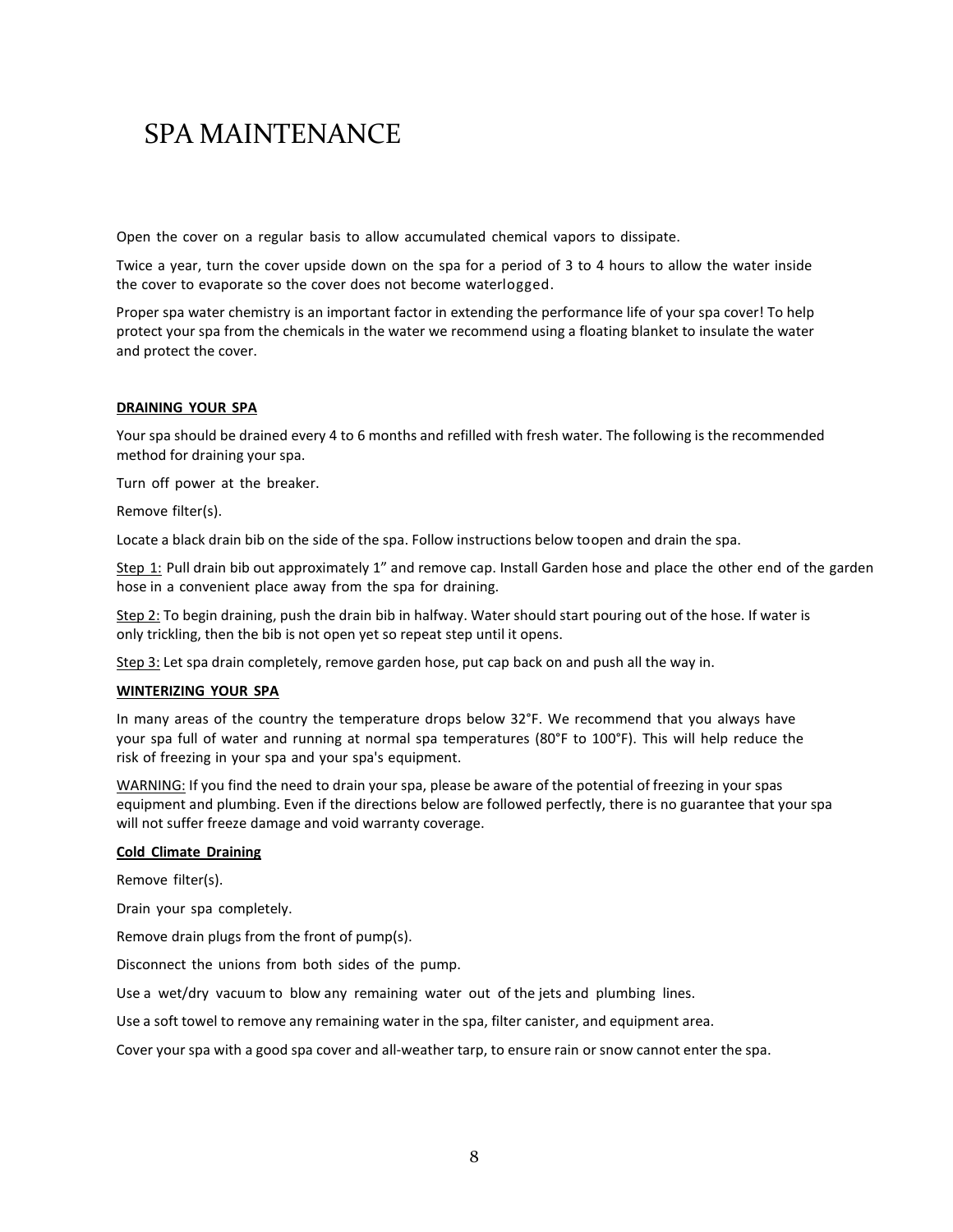Open the cover on a regular basis to allow accumulated chemical vapors to dissipate.

Twice a year, turn the cover upside down on the spa for a period of 3 to 4 hours to allow the water inside the cover to evaporate so the cover does not become waterlogged.

Proper spa water chemistry is an important factor in extending the performance life of your spa cover! To help protect your spa from the chemicals in the water we recommend using a floating blanket to insulate the water and protect the cover.

#### **DRAINING YOUR SPA**

Your spa should be drained every 4 to 6 months and refilled with fresh water. The following is the recommended method for draining your spa.

Turn off power at the breaker.

Remove filter(s).

Locate a black drain bib on the side of the spa. Follow instructions below to open and drain the spa.

Step 1: Pull drain bib out approximately 1" and remove cap. Install Garden hose and place the other end of the garden hose in a convenient place away from the spa for draining.

Step 2: To begin draining, push the drain bib in halfway. Water should start pouring out of the hose. If water is only trickling, then the bib is not open yet so repeat step until it opens.

Step 3: Let spa drain completely, remove garden hose, put cap back on and push all the way in.

#### **WINTERIZING YOUR SPA**

In many areas of the country the temperature drops below 32°F. We recommend that you always have your spa full of water and running at normal spa temperatures (80°F to 100°F). This will help reduce the risk of freezing in your spa and your spa's equipment.

WARNING: If you find the need to drain your spa, please be aware of the potential of freezing in your spas equipment and plumbing. Even if the directions below are followed perfectly, there is no guarantee that your spa will not suffer freeze damage and void warranty coverage.

#### **Cold Climate Draining**

Remove filter(s).

Drain your spa completely.

Remove drain plugs from the front of pump(s).

Disconnect the unions from both sides of the pump.

Use a wet/dry vacuum to blow any remaining water out of the jets and plumbing lines.

Use a soft towel to remove any remaining water in the spa, filter canister, and equipment area.

Cover your spa with a good spa cover and all-weather tarp, to ensure rain or snow cannot enter the spa.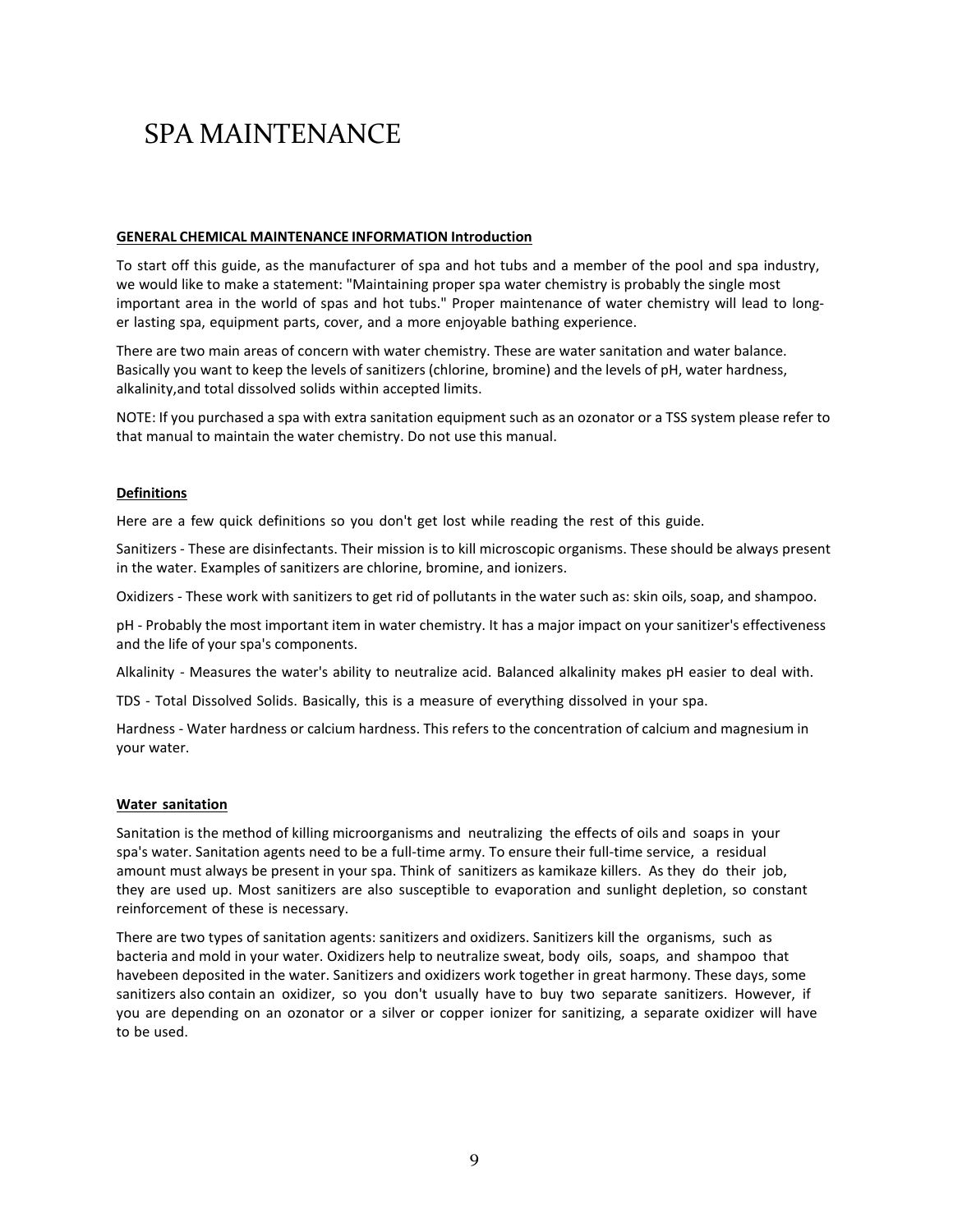#### **GENERAL CHEMICAL MAINTENANCE INFORMATION Introduction**

To start off this guide, as the manufacturer of spa and hot tubs and a member of the pool and spa industry, we would like to make a statement: "Maintaining proper spa water chemistry is probably the single most important area in the world of spas and hot tubs." Proper maintenance of water chemistry will lead to longer lasting spa, equipment parts, cover, and a more enjoyable bathing experience.

There are two main areas of concern with water chemistry. These are water sanitation and water balance. Basically you want to keep the levels of sanitizers (chlorine, bromine) and the levels of pH, water hardness, alkalinity,and total dissolved solids within accepted limits.

NOTE: If you purchased a spa with extra sanitation equipment such as an ozonator or a TSS system please refer to that manual to maintain the water chemistry. Do not use this manual.

#### **Definitions**

Here are a few quick definitions so you don't get lost while reading the rest of this guide.

Sanitizers - These are disinfectants. Their mission is to kill microscopic organisms. These should be always present in the water. Examples of sanitizers are chlorine, bromine, and ionizers.

Oxidizers - These work with sanitizers to get rid of pollutants in the water such as: skin oils, soap, and shampoo.

pH - Probably the most important item in water chemistry. It has a major impact on yoursanitizer's effectiveness and the life of your spa's components.

Alkalinity - Measures the water's ability to neutralize acid. Balanced alkalinity makes pH easier to deal with.

TDS - Total Dissolved Solids. Basically, this is a measure of everything dissolved in your spa.

Hardness - Water hardness or calcium hardness. This refers to the concentration of calcium and magnesium in your water.

#### **Water sanitation**

Sanitation is the method of killing microorganisms and neutralizing the effects of oils and soaps in your spa's water. Sanitation agents need to be a full-time army. To ensure their full-time service, a residual amount must always be present in your spa. Think of sanitizers as kamikaze killers. As they do their job, they are used up. Most sanitizers are also susceptible to evaporation and sunlight depletion, so constant reinforcement of these is necessary.

There are two types of sanitation agents: sanitizers and oxidizers. Sanitizers kill the organisms, such as bacteria and mold in your water. Oxidizers help to neutralize sweat, body oils, soaps, and shampoo that havebeen deposited in the water. Sanitizers and oxidizers work together in great harmony. These days, some sanitizers also contain an oxidizer, so you don't usually have to buy two separate sanitizers. However, if you are depending on an ozonator or a silver or copper ionizer for sanitizing, a separate oxidizer will have to be used.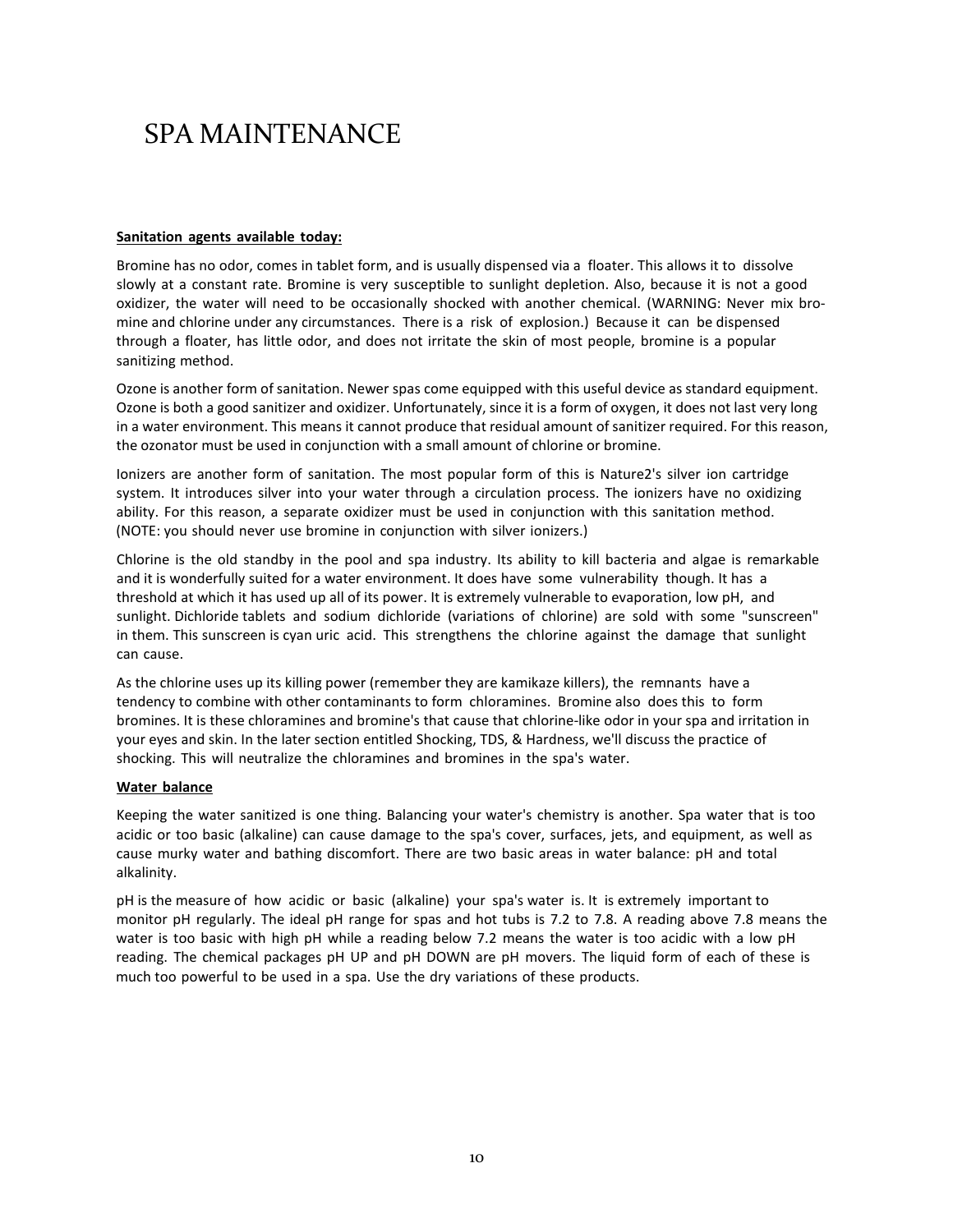#### **Sanitation agents available today:**

Bromine has no odor, comes in tablet form, and is usually dispensed via a floater. This allows it to dissolve slowly at a constant rate. Bromine is very susceptible to sunlight depletion. Also, because it is not a good oxidizer, the water will need to be occasionally shocked with another chemical. (WARNING: Never mix bromine and chlorine under any circumstances. There is a risk of explosion.) Because it can be dispensed through a floater, has little odor, and does not irritate the skin of most people, bromine is a popular sanitizing method.

Ozone is another form of sanitation. Newer spas come equipped with this useful device as standard equipment. Ozone is both a good sanitizer and oxidizer. Unfortunately, since it is a form of oxygen, it does not last very long in a water environment. This means it cannot produce that residual amount of sanitizer required. For this reason, the ozonator must be used in conjunction with a small amount of chlorine or bromine.

Ionizers are another form of sanitation. The most popular form of this is Nature2's silver ion cartridge system. It introduces silver into your water through a circulation process. The ionizers have no oxidizing ability. For this reason, a separate oxidizer must be used in conjunction with this sanitation method. (NOTE: you should never use bromine in conjunction with silver ionizers.)

Chlorine is the old standby in the pool and spa industry. Its ability to kill bacteria and algae is remarkable and it is wonderfully suited for a water environment. It does have some vulnerability though. It has a threshold at which it has used up all of its power. It is extremely vulnerable to evaporation, low pH, and sunlight. Dichloride tablets and sodium dichloride (variations of chlorine) are sold with some "sunscreen" in them. This sunscreen is cyan uric acid. This strengthens the chlorine against the damage that sunlight can cause.

As the chlorine uses up its killing power (remember they are kamikaze killers), the remnants have a tendency to combine with other contaminants to form chloramines. Bromine also does this to form bromines. It is these chloramines and bromine's that cause that chlorine-like odor in your spa and irritation in your eyes and skin. In the later section entitled Shocking, TDS, & Hardness, we'll discuss the practice of shocking. This will neutralize the chloramines and bromines in the spa's water.

### **Water balance**

Keeping the water sanitized is one thing. Balancing your water's chemistry is another. Spa water that is too acidic or too basic (alkaline) can cause damage to the spa's cover, surfaces, jets, and equipment, as well as cause murky water and bathing discomfort. There are two basic areas in water balance: pH and total alkalinity.

pH is the measure of how acidic or basic (alkaline) your spa's water is. It is extremely important to monitor pH regularly. The ideal pH range for spas and hot tubs is 7.2 to 7.8. A reading above 7.8 means the water is too basic with high pH while a reading below 7.2 means the water is too acidic with a low pH reading. The chemical packages pH UP and pH DOWN are pH movers. The liquid form of each of these is much too powerful to be used in a spa. Use the dry variations of these products.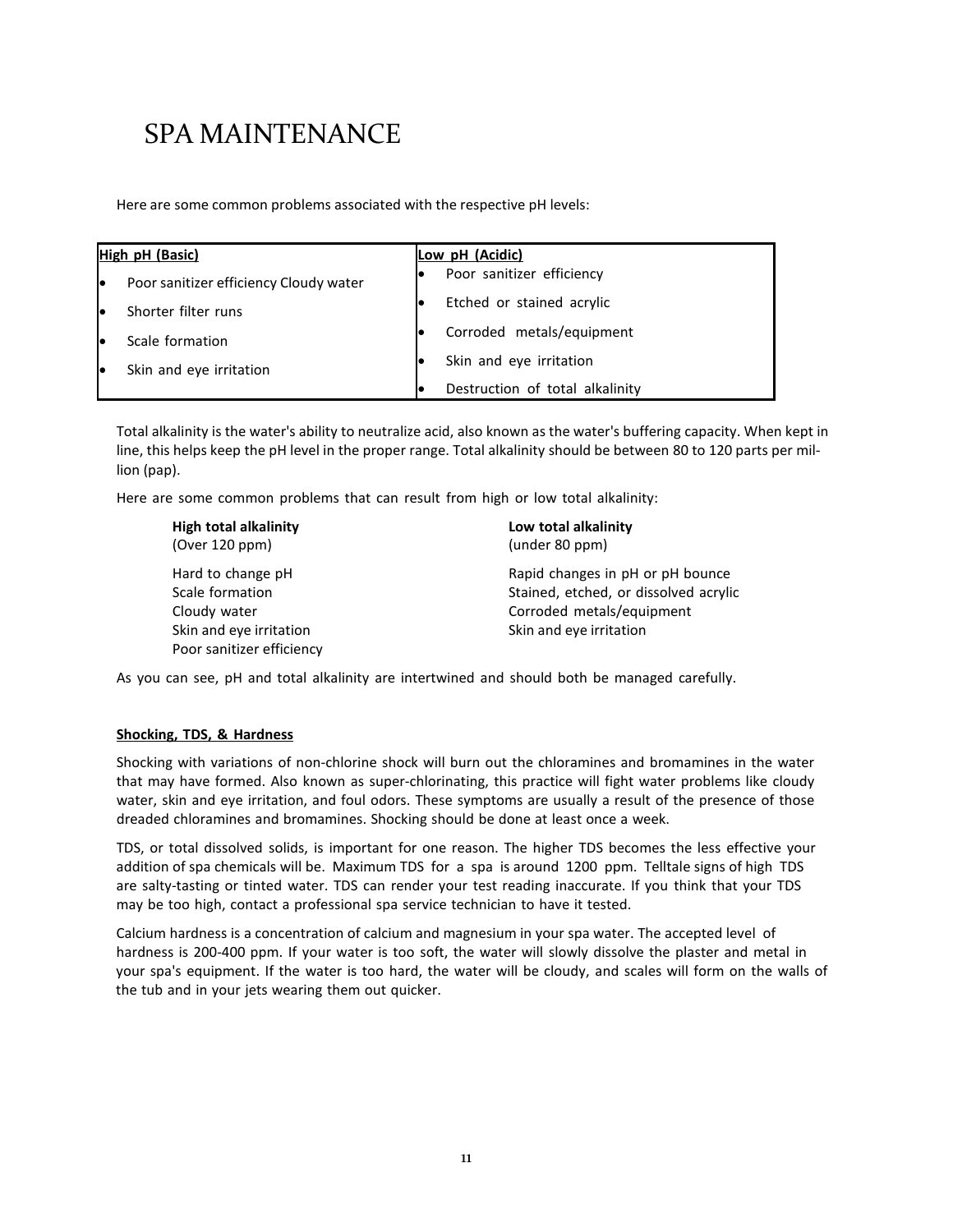Here are some common problems associated with the respective pH levels:

|    | High pH (Basic)<br>Low pH (Acidic)     |    |                                 |
|----|----------------------------------------|----|---------------------------------|
| le | Poor sanitizer efficiency Cloudy water | IO | Poor sanitizer efficiency       |
| le | Shorter filter runs                    |    | Etched or stained acrylic       |
| le | Scale formation                        | IO | Corroded metals/equipment       |
| le | Skin and eye irritation                |    | Skin and eye irritation         |
|    |                                        | le | Destruction of total alkalinity |

Total alkalinity is the water's ability to neutralize acid, also known as the water's buffering capacity. When kept in line, this helps keep the pH level in the proper range. Total alkalinity should be between 80 to 120 parts per million (pap).

Here are some common problems that can result from high or low total alkalinity:

| <b>High total alkalinity</b> | Low total alkalinity                  |
|------------------------------|---------------------------------------|
| (Over 120 ppm)               | (under 80 ppm)                        |
| Hard to change pH            | Rapid changes in pH or pH bounce      |
| Scale formation              | Stained, etched, or dissolved acrylic |
| Cloudy water                 | Corroded metals/equipment             |
| Skin and eve irritation      | Skin and eye irritation               |
| Poor sanitizer efficiency    |                                       |
|                              |                                       |

As you can see, pH and total alkalinity are intertwined and should both be managed carefully.

#### **Shocking, TDS, & Hardness**

Shocking with variations of non-chlorine shock will burn out the chloramines and bromamines in the water that may have formed. Also known as super-chlorinating, this practice will fight water problems like cloudy water, skin and eye irritation, and foul odors. These symptoms are usually a result of the presence of those dreaded chloramines and bromamines. Shocking should be done at least once a week.

TDS, or total dissolved solids, is important for one reason. The higher TDS becomes the less effective your addition of spa chemicals will be. Maximum TDS for a spa is around 1200 ppm. Telltale signs of high TDS are salty-tasting or tinted water. TDS can render your test reading inaccurate. If you think that your TDS may be too high, contact a professional spa service technician to have it tested.

Calcium hardness is a concentration of calcium and magnesium in your spa water. The accepted level of hardness is 200-400 ppm. If your water is too soft, the water will slowly dissolve the plaster and metal in your spa's equipment. If the water is too hard, the water will be cloudy, and scales will form on the walls of the tub and in your jets wearing them out quicker.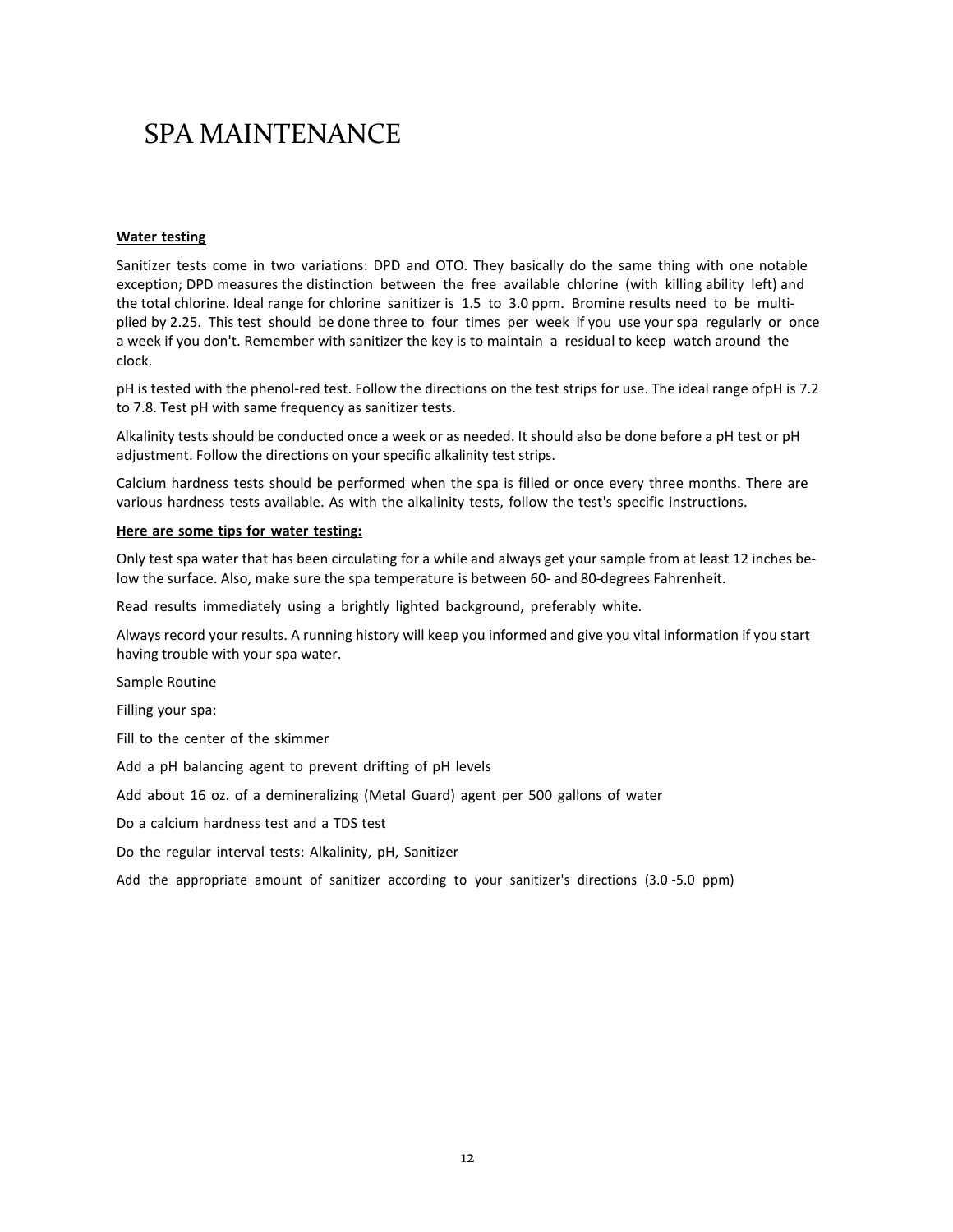#### **Water testing**

Sanitizer tests come in two variations: DPD and OTO. They basically do the same thing with one notable exception; DPD measures the distinction between the free available chlorine (with killing ability left) and the total chlorine. Ideal range for chlorine sanitizer is 1.5 to 3.0 ppm. Bromine results need to be multiplied by 2.25. This test should be done three to four times per week if you use your spa regularly or once a week if you don't. Remember with sanitizer the key is to maintain a residual to keep watch around the clock.

pH is tested with the phenol-red test. Follow the directions on the test strips for use. The ideal range ofpH is 7.2 to 7.8. Test pH with same frequency as sanitizer tests.

Alkalinity tests should be conducted once a week or as needed. It should also be done before a pH test or pH adjustment. Follow the directions on your specific alkalinity test strips.

Calcium hardness tests should be performed when the spa is filled or once every three months. There are various hardness tests available. As with the alkalinity tests, follow the test's specific instructions.

#### **Here are some tips for water testing:**

Only test spa water that has been circulating for a while and always get your sample from at least 12 inches below the surface. Also, make sure the spa temperature is between 60- and 80-degrees Fahrenheit.

Read results immediately using a brightly lighted background, preferably white.

Always record your results. A running history will keep you informed and give you vital information if you start having trouble with your spa water.

Sample Routine

Filling your spa:

Fill to the center of the skimmer

Add a pH balancing agent to prevent drifting of pH levels

Add about 16 oz. of a demineralizing (Metal Guard) agent per 500 gallons of water

Do a calcium hardness test and a TDS test

Do the regular interval tests: Alkalinity, pH, Sanitizer

Add the appropriate amount of sanitizer according to your sanitizer's directions (3.0 -5.0 ppm)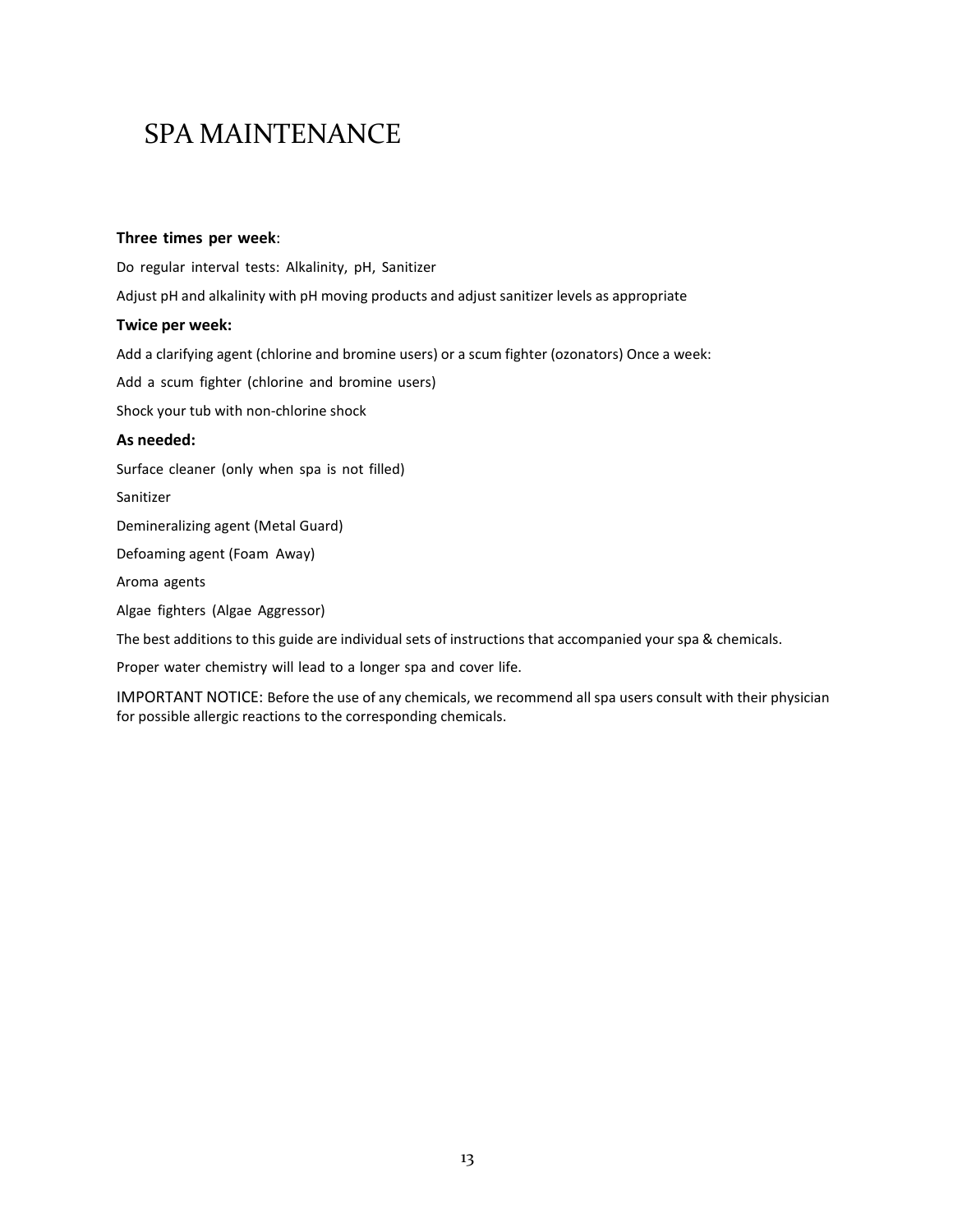#### **Three times per week**:

Do regular interval tests: Alkalinity, pH, Sanitizer

Adjust pH and alkalinity with pH moving products and adjust sanitizer levels as appropriate

### **Twice per week:**

Add a clarifying agent (chlorine and bromine users) or a scum fighter (ozonators) Once a week:

Add a scum fighter (chlorine and bromine users)

Shock your tub with non-chlorine shock

### **As needed:**

Surface cleaner (only when spa is not filled)

Sanitizer

Demineralizing agent (Metal Guard)

Defoaming agent (Foam Away)

Aroma agents

Algae fighters (Algae Aggressor)

The best additions to this guide are individual sets of instructions that accompanied your spa & chemicals.

Proper water chemistry will lead to a longer spa and cover life.

IMPORTANT NOTICE: Before the use of any chemicals, we recommend all spa users consult with their physician for possible allergic reactions to the corresponding chemicals.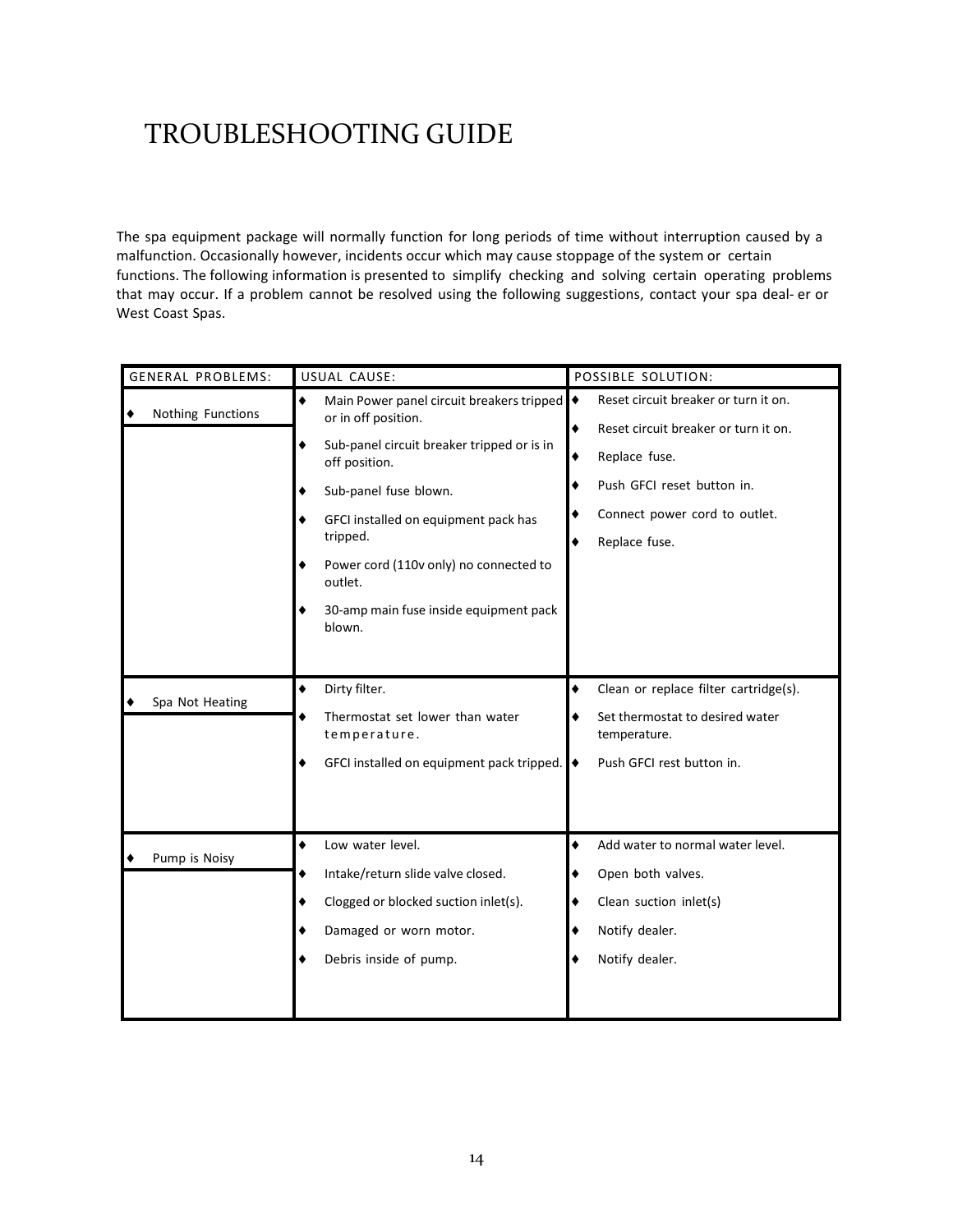### TROUBLESHOOTING GUIDE

The spa equipment package will normally function for long periods of time without interruption caused by a malfunction. Occasionally however, incidents occur which may cause stoppage of the system or certain functions. The following information is presented to simplify checking and solving certain operating problems that may occur. If a problem cannot be resolved using the following suggestions, contact your spa deal- er or West Coast Spas.

| <b>GENERAL PROBLEMS:</b> | USUAL CAUSE:                                                                                                                                                                                                                                                                                                                    | POSSIBLE SOLUTION:                                                                                                                                                                           |
|--------------------------|---------------------------------------------------------------------------------------------------------------------------------------------------------------------------------------------------------------------------------------------------------------------------------------------------------------------------------|----------------------------------------------------------------------------------------------------------------------------------------------------------------------------------------------|
| Nothing Functions<br>٠   | ٠<br>Main Power panel circuit breakers tripped<br>or in off position.<br>Sub-panel circuit breaker tripped or is in<br>٠<br>off position.<br>Sub-panel fuse blown.<br>GFCI installed on equipment pack has<br>tripped.<br>Power cord (110v only) no connected to<br>outlet.<br>30-amp main fuse inside equipment pack<br>blown. | Reset circuit breaker or turn it on.<br>♦<br>٠<br>Reset circuit breaker or turn it on.<br>٠<br>Replace fuse.<br>Push GFCI reset button in.<br>Connect power cord to outlet.<br>Replace fuse. |
| Spa Not Heating          | Dirty filter.<br>٠<br>Thermostat set lower than water<br>٠<br>temperature.<br>GFCI installed on equipment pack tripped.                                                                                                                                                                                                         | Clean or replace filter cartridge(s).<br>٠<br>Set thermostat to desired water<br>temperature.<br>Push GFCI rest button in.                                                                   |
| Pump is Noisy            | ٠<br>Low water level.<br>Intake/return slide valve closed.<br>٠<br>Clogged or blocked suction inlet(s).<br>٠<br>Damaged or worn motor.<br>Debris inside of pump.                                                                                                                                                                | ٠<br>Add water to normal water level.<br>Open both valves.<br>Clean suction inlet(s)<br>Notify dealer.<br>Notify dealer.                                                                     |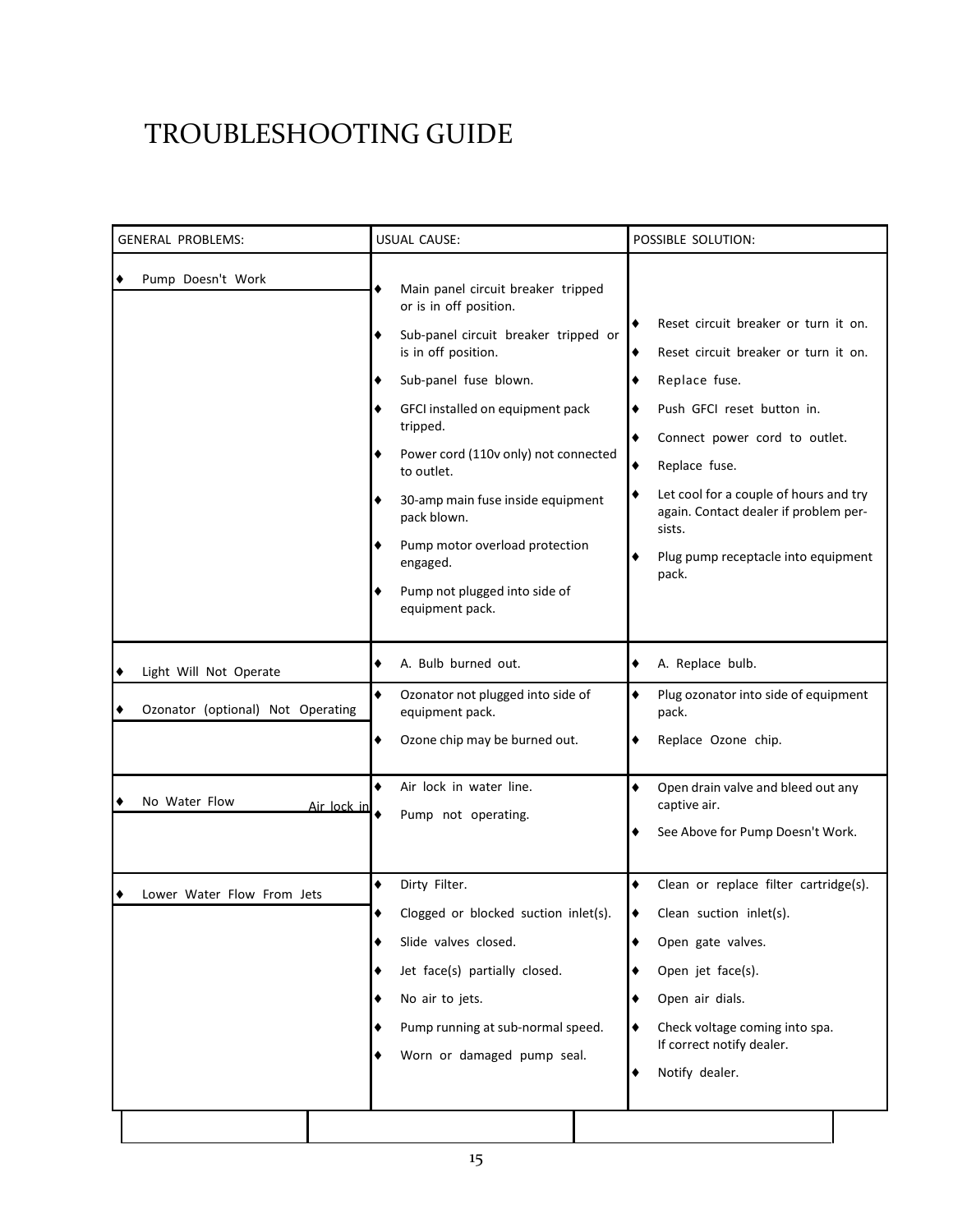### TROUBLESHOOTING GUIDE

| Pump Doesn't Work<br>٠<br>Main panel circuit breaker tripped<br>or is in off position.<br>Sub-panel circuit breaker tripped or<br>٠<br>is in off position.<br>٠<br>Sub-panel fuse blown.<br>Replace fuse.<br>٠<br>GFCI installed on equipment pack<br>Push GFCI reset button in.<br>tripped.<br>Connect power cord to outlet.<br>Power cord (110v only) not connected<br>Replace fuse.<br>٠<br>to outlet.<br>٠<br>30-amp main fuse inside equipment<br>pack blown.<br>sists.<br>Pump motor overload protection<br>٠<br>engaged.<br>pack.<br>Pump not plugged into side of<br>equipment pack.<br>A. Bulb burned out.<br>A. Replace bulb.<br>٠<br>٠<br>Light Will Not Operate<br>٠<br>٠<br>Ozonator not plugged into side of<br>٠<br>Ozonator (optional) Not Operating<br>equipment pack.<br>٠<br>pack.<br>٠<br>Ozone chip may be burned out.<br>Replace Ozone chip.<br>٠<br>٠<br>Air lock in water line.<br>٠<br>Open drain valve and bleed out any<br>No Water Flow<br>captive air.<br>Air lock in<br>Pump not operating.<br>See Above for Pump Doesn't Work.<br>٠<br>Dirty Filter.<br>٠<br>Lower Water Flow From Jets<br>Clogged or blocked suction inlet(s).<br>Clean suction inlet(s).<br>٠<br>Slide valves closed.<br>Open gate valves.<br>٠<br>Jet face(s) partially closed.<br>Open jet face(s).<br>٠ | <b>GENERAL PROBLEMS:</b> | <b>USUAL CAUSE:</b> | POSSIBLE SOLUTION:                                                                                                                                                                                     |
|-------------------------------------------------------------------------------------------------------------------------------------------------------------------------------------------------------------------------------------------------------------------------------------------------------------------------------------------------------------------------------------------------------------------------------------------------------------------------------------------------------------------------------------------------------------------------------------------------------------------------------------------------------------------------------------------------------------------------------------------------------------------------------------------------------------------------------------------------------------------------------------------------------------------------------------------------------------------------------------------------------------------------------------------------------------------------------------------------------------------------------------------------------------------------------------------------------------------------------------------------------------------------------------------------------------|--------------------------|---------------------|--------------------------------------------------------------------------------------------------------------------------------------------------------------------------------------------------------|
|                                                                                                                                                                                                                                                                                                                                                                                                                                                                                                                                                                                                                                                                                                                                                                                                                                                                                                                                                                                                                                                                                                                                                                                                                                                                                                             |                          |                     | Reset circuit breaker or turn it on.<br>Reset circuit breaker or turn it on.<br>Let cool for a couple of hours and try<br>again. Contact dealer if problem per-<br>Plug pump receptacle into equipment |
|                                                                                                                                                                                                                                                                                                                                                                                                                                                                                                                                                                                                                                                                                                                                                                                                                                                                                                                                                                                                                                                                                                                                                                                                                                                                                                             |                          |                     | Plug ozonator into side of equipment                                                                                                                                                                   |
|                                                                                                                                                                                                                                                                                                                                                                                                                                                                                                                                                                                                                                                                                                                                                                                                                                                                                                                                                                                                                                                                                                                                                                                                                                                                                                             |                          |                     |                                                                                                                                                                                                        |
| Pump running at sub-normal speed.<br>Check voltage coming into spa.<br>٠<br>If correct notify dealer.<br>Worn or damaged pump seal.<br>Notify dealer.<br>٠                                                                                                                                                                                                                                                                                                                                                                                                                                                                                                                                                                                                                                                                                                                                                                                                                                                                                                                                                                                                                                                                                                                                                  |                          | No air to jets.     | Clean or replace filter cartridge(s).<br>Open air dials.<br>٠                                                                                                                                          |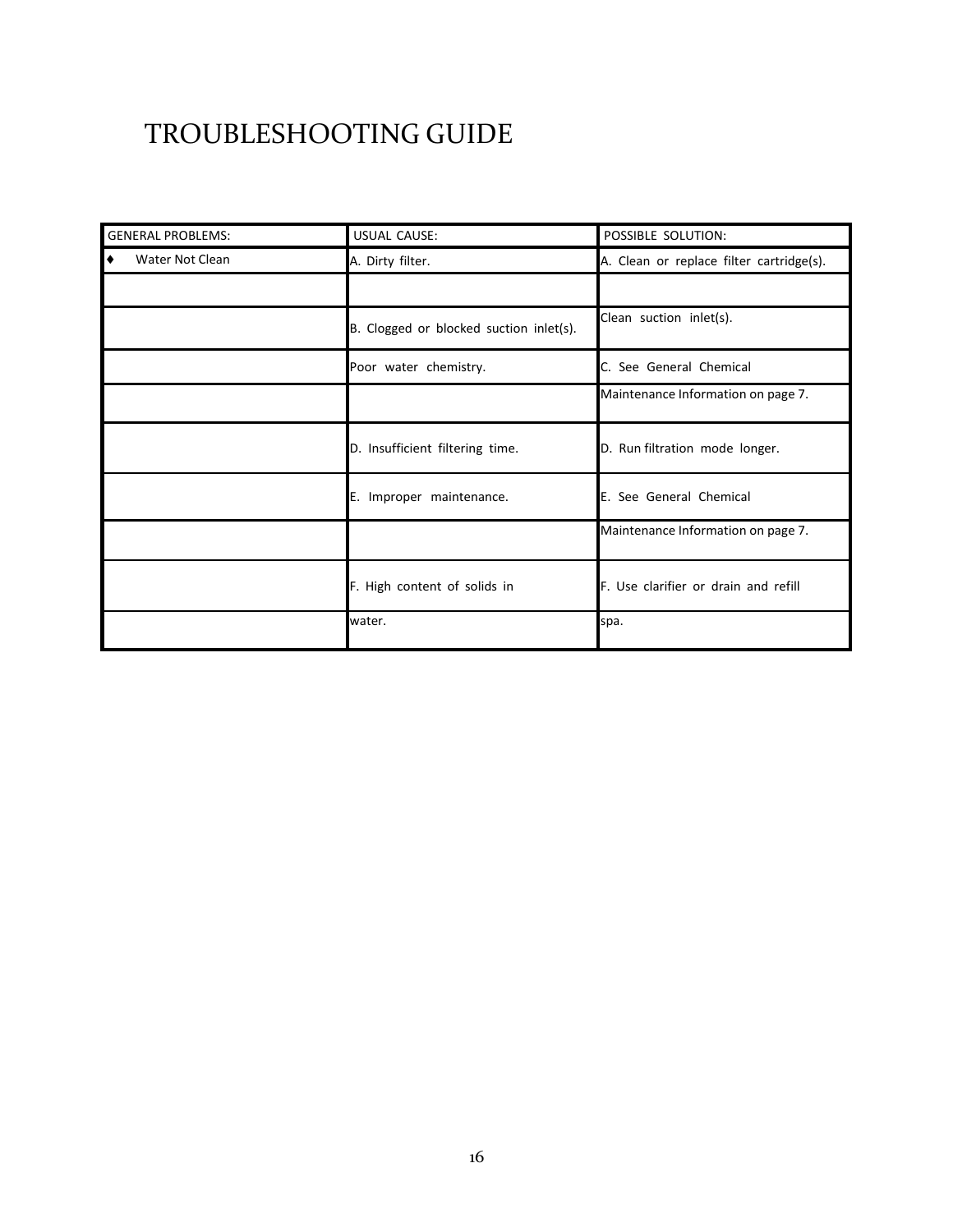### TROUBLESHOOTING GUIDE

| <b>GENERAL PROBLEMS:</b> | USUAL CAUSE:                            | POSSIBLE SOLUTION:                       |
|--------------------------|-----------------------------------------|------------------------------------------|
| Water Not Clean<br>౹◆    | A. Dirty filter.                        | A. Clean or replace filter cartridge(s). |
|                          |                                         |                                          |
|                          | B. Clogged or blocked suction inlet(s). | Clean suction inlet(s).                  |
|                          | Poor water chemistry.                   | C. See General Chemical                  |
|                          |                                         | Maintenance Information on page 7.       |
|                          | D. Insufficient filtering time.         | D. Run filtration mode longer.           |
|                          | E. Improper maintenance.                | E. See General Chemical                  |
|                          |                                         | Maintenance Information on page 7.       |
|                          | F. High content of solids in            | F. Use clarifier or drain and refill     |
|                          | water.                                  | spa.                                     |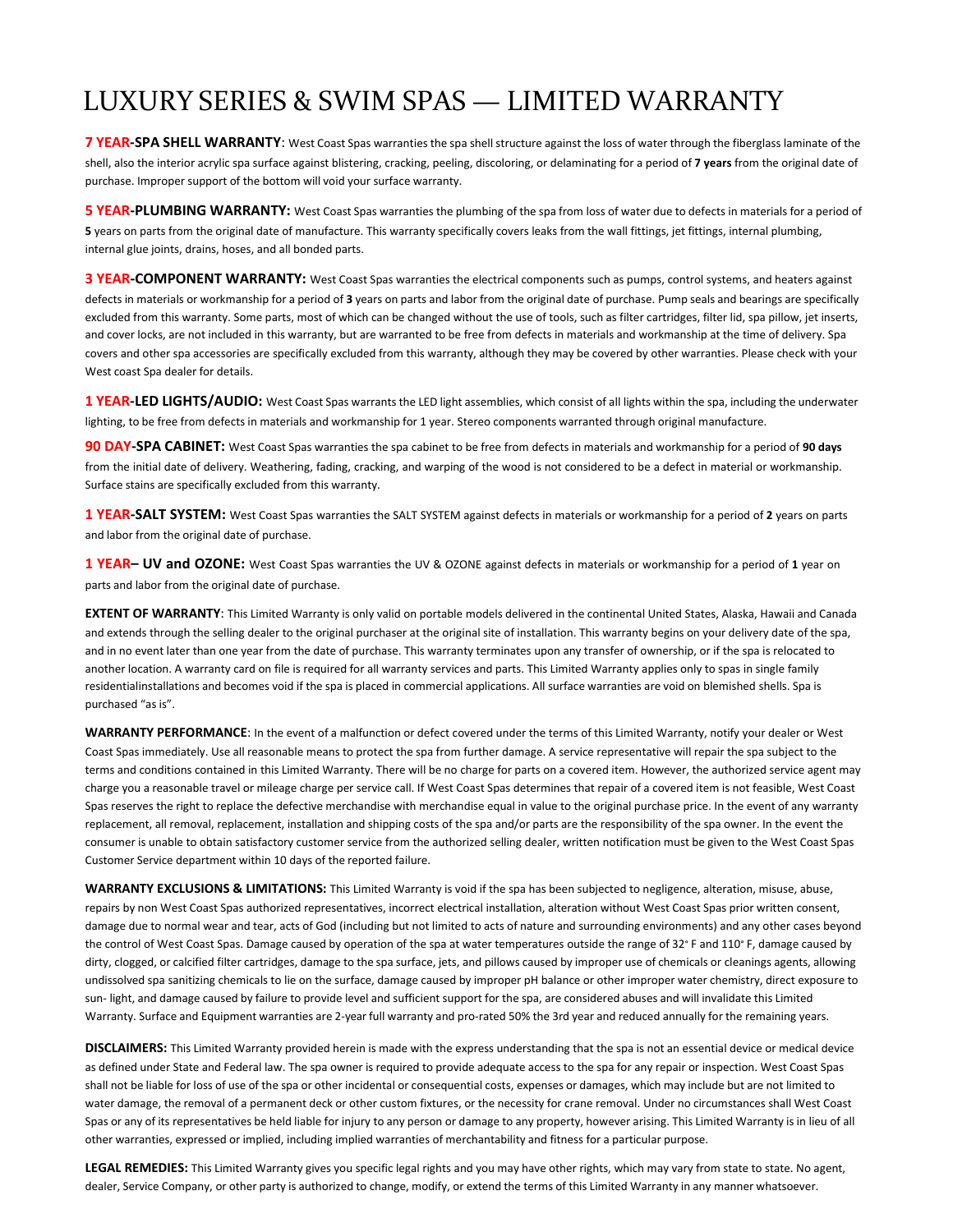### LUXURY SERIES & SWIM SPAS — LIMITED WARRANTY

**7 YEAR-SPA SHELL WARRANTY**: West Coast Spas warranties the spa shell structure against the loss of water through the fiberglass laminate of the shell, also the interior acrylic spa surface against blistering, cracking, peeling, discoloring, or delaminating for a period of **7 years** from the original date of purchase. Improper support of the bottom will void your surface warranty.

**5 YEAR-PLUMBING WARRANTY:** West Coast Spas warranties the plumbing of the spa from loss of water due to defects in materials for a period of **5** years on parts from the original date of manufacture. This warranty specifically covers leaks from the wall fittings, jet fittings, internal plumbing, internal glue joints, drains, hoses, and all bonded parts.

**3 YEAR-COMPONENT WARRANTY:** West Coast Spas warranties the electrical components such as pumps, control systems, and heaters against defects in materials or workmanship for a period of **3** years on parts and labor from the original date of purchase. Pump seals and bearings are specifically excluded from this warranty. Some parts, most of which can be changed without the use of tools, such as filter cartridges, filter lid, spa pillow, jet inserts, and cover locks, are not included in this warranty, but are warranted to be free from defects in materials and workmanship at the time of delivery. Spa covers and other spa accessories are specifically excluded from this warranty, although they may be covered by other warranties. Please check with your West coast Spa dealer for details.

**1 YEAR-LED LIGHTS/AUDIO:** West Coast Spas warrants the LED light assemblies, which consist of all lights within the spa, including the underwater lighting, to be free from defects in materials and workmanship for 1 year. Stereo components warranted through original manufacture.

**90 DAY-SPA CABINET:** West Coast Spas warranties the spa cabinet to be free from defects in materials and workmanship for a period of **90 days** from the initial date of delivery. Weathering, fading, cracking, and warping of the wood is not considered to be a defect in material or workmanship. Surface stains are specifically excluded from this warranty.

**1 YEAR-SALT SYSTEM:** West Coast Spas warranties the SALT SYSTEM against defects in materials or workmanship for a period of **2** years on parts and labor from the original date of purchase.

**1 YEAR– UV and OZONE:** West Coast Spas warranties the UV & OZONE against defects in materials or workmanship for a period of **1** year on parts and labor from the original date of purchase.

**EXTENT OF WARRANTY**: This Limited Warranty is only valid on portable models delivered in the continental United States, Alaska, Hawaii and Canada and extends through the selling dealer to the original purchaser at the original site of installation. This warranty begins on your delivery date of the spa, and in no event later than one year from the date of purchase. This warranty terminates upon any transfer of ownership, or if the spa is relocated to another location. A warranty card on file is required for all warranty services and parts. This Limited Warranty applies only to spas in single family residentialinstallations and becomes void if the spa is placed in commercial applications. All surface warranties are void on blemished shells. Spa is purchased "as is".

**WARRANTY PERFORMANCE**: In the event of a malfunction or defect covered under the terms of this Limited Warranty, notify your dealer or West Coast Spas immediately. Use all reasonable means to protect the spa from further damage. A service representative will repair the spa subject to the terms and conditions contained in this Limited Warranty. There will be no charge for parts on a covered item. However, the authorized service agent may charge you a reasonable travel or mileage charge per service call. If West Coast Spas determines that repair of a covered item is not feasible, West Coast Spas reserves the right to replace the defective merchandise with merchandise equal in value to the original purchase price. In the event of any warranty replacement, all removal, replacement, installation and shipping costs of the spa and/or parts are the responsibility of the spa owner. In the event the consumer is unable to obtain satisfactory customer service from the authorized selling dealer, written notification must be given to the West Coast Spas Customer Service department within 10 days of the reported failure.

**WARRANTY EXCLUSIONS & LIMITATIONS:** This Limited Warranty is void if the spa has been subjected to negligence, alteration, misuse, abuse, repairs by non West Coast Spas authorized representatives, incorrect electrical installation, alteration without West Coast Spas prior written consent, damage due to normal wear and tear, acts of God (including but not limited to acts of nature and surrounding environments) and any other cases beyond the control of West Coast Spas. Damage caused by operation of the spa at water temperatures outside the range of 32° F and 110° F, damage caused by dirty, clogged, or calcified filter cartridges, damage to the spa surface, jets, and pillows caused by improper use of chemicals or cleanings agents, allowing undissolved spa sanitizing chemicals to lie on the surface, damage caused by improper pH balance or other improper water chemistry, direct exposure to sun- light, and damage caused by failure to provide level and sufficient support for the spa, are considered abuses and will invalidate this Limited Warranty. Surface and Equipment warranties are 2-year full warranty and pro-rated 50% the 3rd year and reduced annually for the remaining years.

**DISCLAIMERS:** This Limited Warranty provided herein is made with the express understanding that the spa is not an essential device or medical device as defined under State and Federal law. The spa owner is required to provide adequate access to the spa for any repair or inspection. West Coast Spas shall not be liable for loss of use of the spa or other incidental or consequential costs, expenses or damages, which may include but are not limited to water damage, the removal of a permanent deck or other custom fixtures, or the necessity for crane removal. Under no circumstances shall West Coast Spas or any of its representatives be held liable for injury to any person or damage to any property, however arising. This Limited Warranty is in lieu of all other warranties, expressed or implied, including implied warranties of merchantability and fitness for a particular purpose.

**LEGAL REMEDIES:** This Limited Warranty gives you specific legal rights and you may have other rights, which may vary from state to state. No agent, dealer, Service Company, or other party is authorized to change, modify, or extend the terms of this Limited Warranty in any manner whatsoever.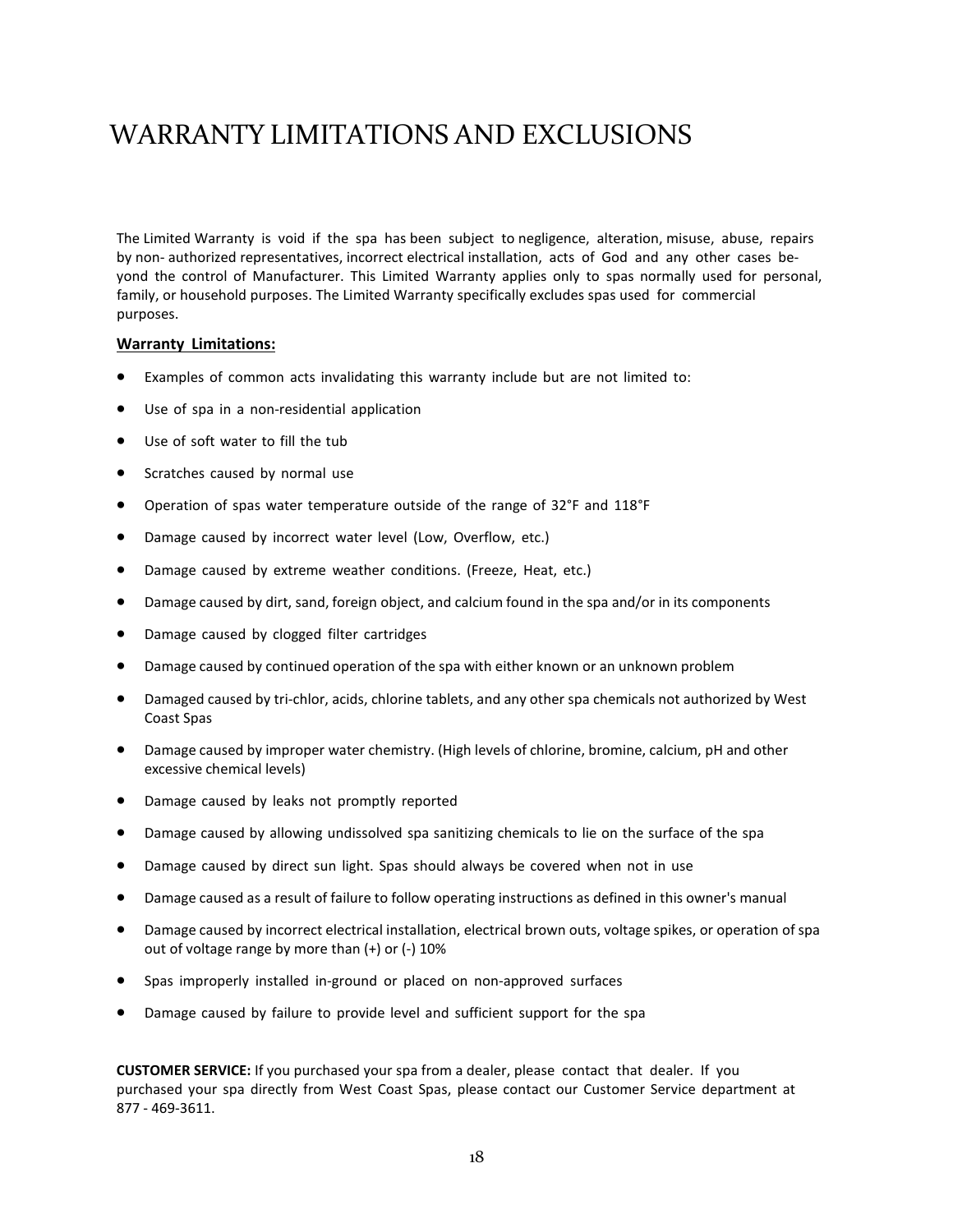### WARRANTY LIMITATIONS AND EXCLUSIONS

The Limited Warranty is void if the spa has been subject to negligence, alteration, misuse, abuse, repairs by non- authorized representatives, incorrect electrical installation, acts of God and any other cases beyond the control of Manufacturer. This Limited Warranty applies only to spas normally used for personal, family, or household purposes. The Limited Warranty specifically excludes spas used for commercial purposes.

### **Warranty Limitations:**

- Examples of common acts invalidating this warranty include but are not limited to:
- Use of spa in a non-residential application
- Use of soft water to fill the tub
- Scratches caused by normal use
- Operation of spas water temperature outside of the range of 32°F and 118°F
- Damage caused by incorrect water level (Low, Overflow, etc.)
- Damage caused by extreme weather conditions. (Freeze, Heat, etc.)
- Damage caused by dirt, sand, foreign object, and calcium found in the spa and/or in its components
- Damage caused by clogged filter cartridges
- Damage caused by continued operation of the spa with either known or an unknown problem
- Damaged caused by tri-chlor, acids, chlorine tablets, and any other spa chemicals not authorized by West Coast Spas
- Damage caused by improper water chemistry. (High levels of chlorine, bromine, calcium, pH and other excessive chemical levels)
- Damage caused by leaks not promptly reported
- Damage caused by allowing undissolved spa sanitizing chemicals to lie on the surface of the spa
- Damage caused by direct sun light. Spas should always be covered when not in use
- Damage caused as a result of failure to follow operating instructions as defined in this owner's manual
- Damage caused by incorrect electrical installation, electrical brown outs, voltage spikes, or operation of spa out of voltage range by more than (+) or (-) 10%
- Spas improperly installed in-ground or placed on non-approved surfaces
- Damage caused by failure to provide level and sufficient support for the spa

**CUSTOMER SERVICE:** If you purchased your spa from a dealer, please contact that dealer. If you purchased your spa directly from West Coast Spas, please contact our Customer Service department at 877 - 469-3611.